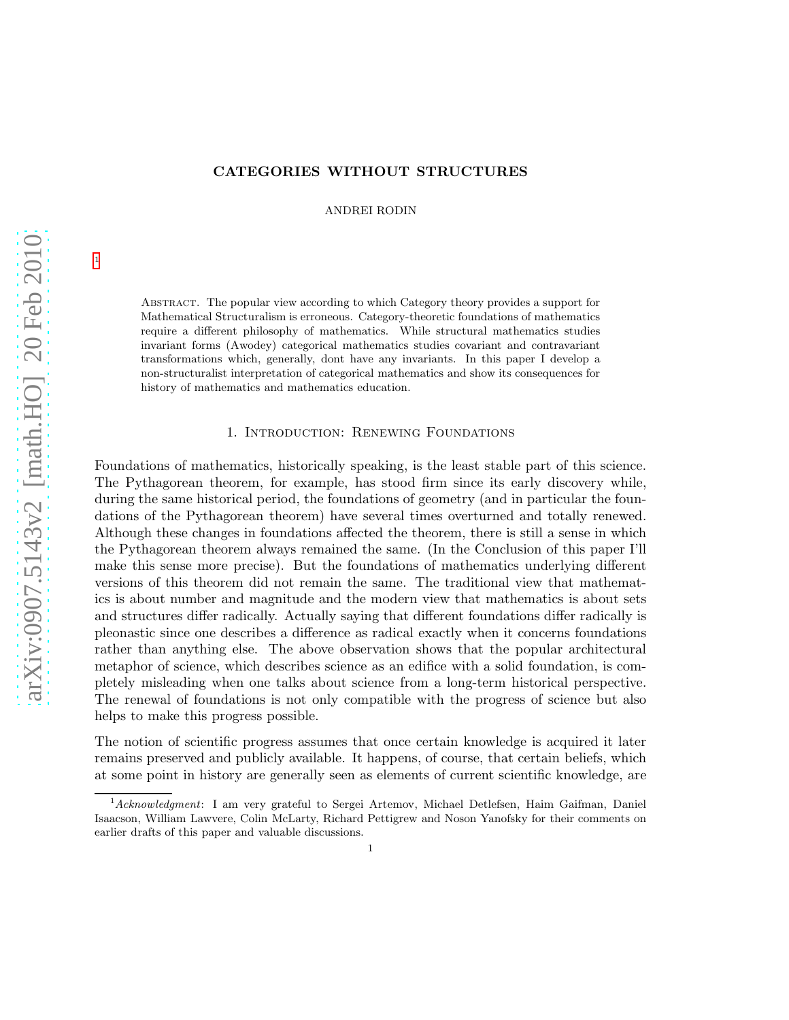# CATEGORIES WITHOUT STRUCTURES

ANDREI RODIN

Abstract. The popular view according to which Category theory provides a support for Mathematical Structuralism is erroneous. Category-theoretic foundations of mathematics require a different philosophy of mathematics. While structural mathematics studies invariant forms (Awodey) categorical mathematics studies covariant and contravariant transformations which, generally, dont have any invariants. In this paper I develop a non-structuralist interpretation of categorical mathematics and show its consequences for history of mathematics and mathematics education.

## 1. Introduction: Renewing Foundations

Foundations of mathematics, historically speaking, is the least stable part of this science. The Pythagorean theorem, for example, has stood firm since its early discovery while, during the same historical period, the foundations of geometry (and in particular the foundations of the Pythagorean theorem) have several times overturned and totally renewed. Although these changes in foundations affected the theorem, there is still a sense in which the Pythagorean theorem always remained the same. (In the Conclusion of this paper I'll make this sense more precise). But the foundations of mathematics underlying different versions of this theorem did not remain the same. The traditional view that mathematics is about number and magnitude and the modern view that mathematics is about sets and structures differ radically. Actually saying that different foundations differ radically is pleonastic since one describes a difference as radical exactly when it concerns foundations rather than anything else. The above observation shows that the popular architectural metaphor of science, which describes science as an edifice with a solid foundation, is completely misleading when one talks about science from a long-term historical perspective. The renewal of foundations is not only compatible with the progress of science but also helps to make this progress possible.

The notion of scientific progress assumes that once certain knowledge is acquired it later remains preserved and publicly available. It happens, of course, that certain beliefs, which at some point in history are generally seen as elements of current scientific knowledge, are

[1](#page-0-0)

<span id="page-0-0"></span><sup>&</sup>lt;sup>1</sup>Acknowledgment: I am very grateful to Sergei Artemov, Michael Detlefsen, Haim Gaifman, Daniel Isaacson, William Lawvere, Colin McLarty, Richard Pettigrew and Noson Yanofsky for their comments on earlier drafts of this paper and valuable discussions.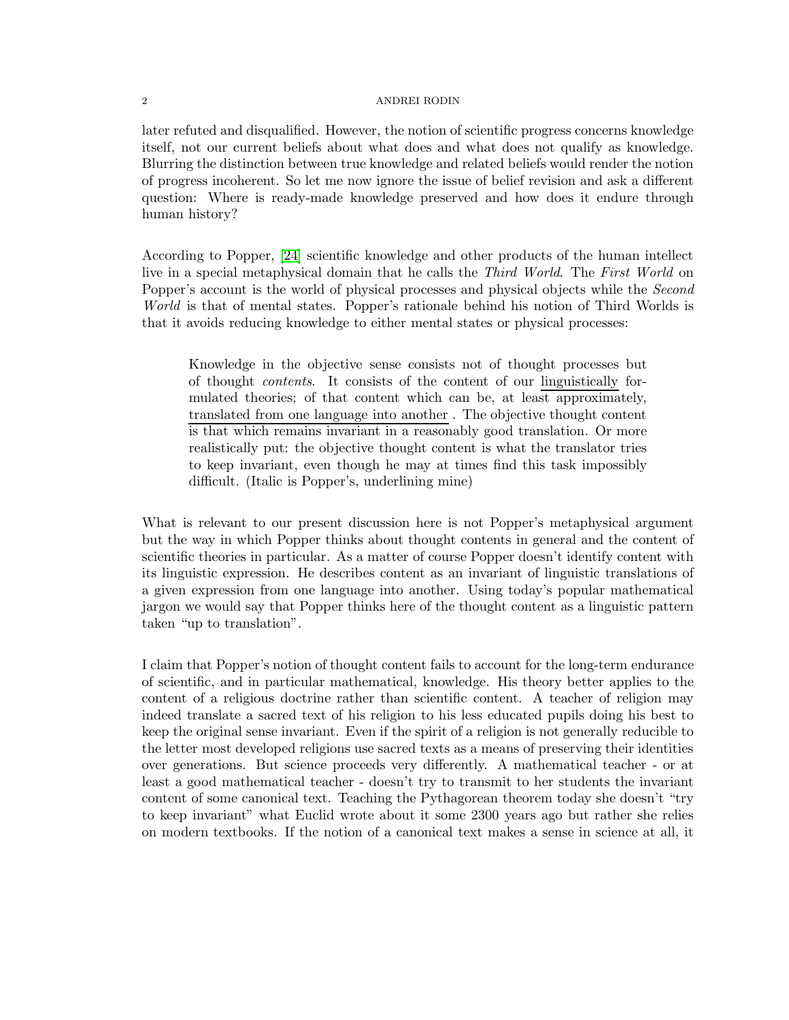later refuted and disqualified. However, the notion of scientific progress concerns knowledge itself, not our current beliefs about what does and what does not qualify as knowledge. Blurring the distinction between true knowledge and related beliefs would render the notion of progress incoherent. So let me now ignore the issue of belief revision and ask a different question: Where is ready-made knowledge preserved and how does it endure through human history?

According to Popper, [\[24\]](#page-27-0) scientific knowledge and other products of the human intellect live in a special metaphysical domain that he calls the *Third World*. The First World on Popper's account is the world of physical processes and physical objects while the *Second* World is that of mental states. Popper's rationale behind his notion of Third Worlds is that it avoids reducing knowledge to either mental states or physical processes:

Knowledge in the objective sense consists not of thought processes but of thought contents. It consists of the content of our linguistically formulated theories; of that content which can be, at least approximately, translated from one language into another . The objective thought content is that which remains invariant in a reasonably good translation. Or more realistically put: the objective thought content is what the translator tries to keep invariant, even though he may at times find this task impossibly difficult. (Italic is Popper's, underlining mine)

What is relevant to our present discussion here is not Popper's metaphysical argument but the way in which Popper thinks about thought contents in general and the content of scientific theories in particular. As a matter of course Popper doesn't identify content with its linguistic expression. He describes content as an invariant of linguistic translations of a given expression from one language into another. Using today's popular mathematical jargon we would say that Popper thinks here of the thought content as a linguistic pattern taken "up to translation".

I claim that Popper's notion of thought content fails to account for the long-term endurance of scientific, and in particular mathematical, knowledge. His theory better applies to the content of a religious doctrine rather than scientific content. A teacher of religion may indeed translate a sacred text of his religion to his less educated pupils doing his best to keep the original sense invariant. Even if the spirit of a religion is not generally reducible to the letter most developed religions use sacred texts as a means of preserving their identities over generations. But science proceeds very differently. A mathematical teacher - or at least a good mathematical teacher - doesn't try to transmit to her students the invariant content of some canonical text. Teaching the Pythagorean theorem today she doesn't "try to keep invariant" what Euclid wrote about it some 2300 years ago but rather she relies on modern textbooks. If the notion of a canonical text makes a sense in science at all, it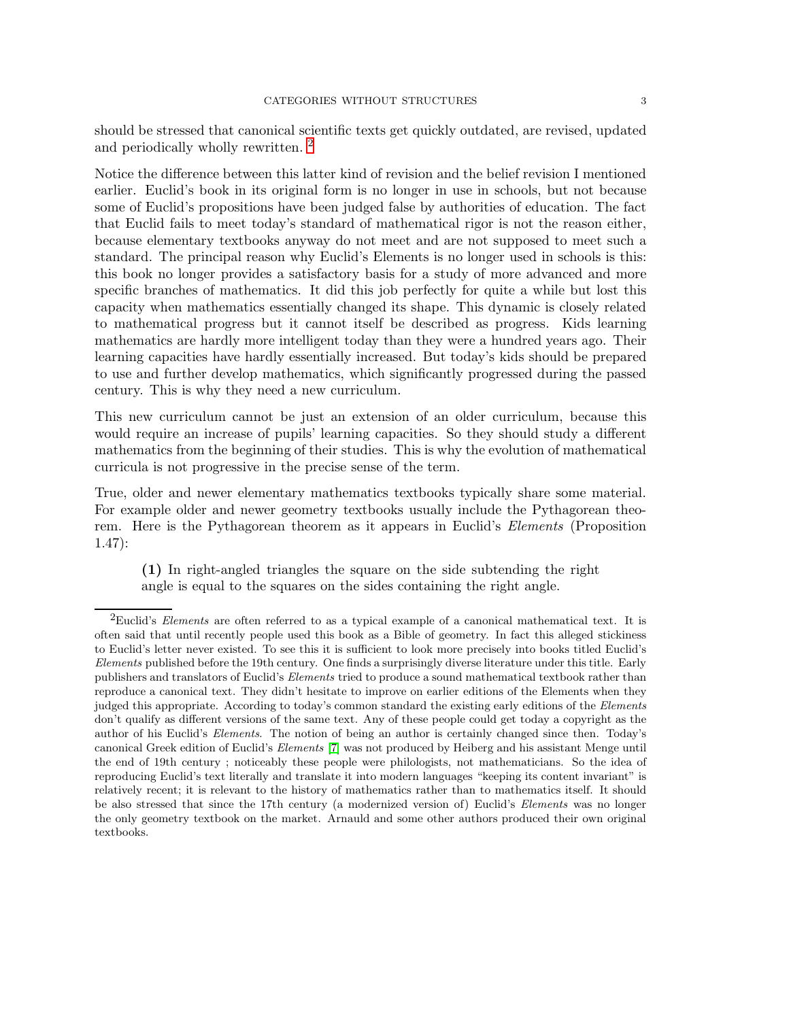should be stressed that canonical scientific texts get quickly outdated, are revised, updated and periodically wholly rewritten.<sup>[2](#page-2-0)</sup>

Notice the difference between this latter kind of revision and the belief revision I mentioned earlier. Euclid's book in its original form is no longer in use in schools, but not because some of Euclid's propositions have been judged false by authorities of education. The fact that Euclid fails to meet today's standard of mathematical rigor is not the reason either, because elementary textbooks anyway do not meet and are not supposed to meet such a standard. The principal reason why Euclid's Elements is no longer used in schools is this: this book no longer provides a satisfactory basis for a study of more advanced and more specific branches of mathematics. It did this job perfectly for quite a while but lost this capacity when mathematics essentially changed its shape. This dynamic is closely related to mathematical progress but it cannot itself be described as progress. Kids learning mathematics are hardly more intelligent today than they were a hundred years ago. Their learning capacities have hardly essentially increased. But today's kids should be prepared to use and further develop mathematics, which significantly progressed during the passed century. This is why they need a new curriculum.

This new curriculum cannot be just an extension of an older curriculum, because this would require an increase of pupils' learning capacities. So they should study a different mathematics from the beginning of their studies. This is why the evolution of mathematical curricula is not progressive in the precise sense of the term.

True, older and newer elementary mathematics textbooks typically share some material. For example older and newer geometry textbooks usually include the Pythagorean theorem. Here is the Pythagorean theorem as it appears in Euclid's Elements (Proposition 1.47):

(1) In right-angled triangles the square on the side subtending the right angle is equal to the squares on the sides containing the right angle.

<span id="page-2-0"></span><sup>&</sup>lt;sup>2</sup>Euclid's *Elements* are often referred to as a typical example of a canonical mathematical text. It is often said that until recently people used this book as a Bible of geometry. In fact this alleged stickiness to Euclid's letter never existed. To see this it is sufficient to look more precisely into books titled Euclid's Elements published before the 19th century. One finds a surprisingly diverse literature under this title. Early publishers and translators of Euclid's Elements tried to produce a sound mathematical textbook rather than reproduce a canonical text. They didn't hesitate to improve on earlier editions of the Elements when they judged this appropriate. According to today's common standard the existing early editions of the Elements don't qualify as different versions of the same text. Any of these people could get today a copyright as the author of his Euclid's Elements. The notion of being an author is certainly changed since then. Today's canonical Greek edition of Euclid's Elements [\[7\]](#page-26-0) was not produced by Heiberg and his assistant Menge until the end of 19th century ; noticeably these people were philologists, not mathematicians. So the idea of reproducing Euclid's text literally and translate it into modern languages "keeping its content invariant" is relatively recent; it is relevant to the history of mathematics rather than to mathematics itself. It should be also stressed that since the 17th century (a modernized version of) Euclid's Elements was no longer the only geometry textbook on the market. Arnauld and some other authors produced their own original textbooks.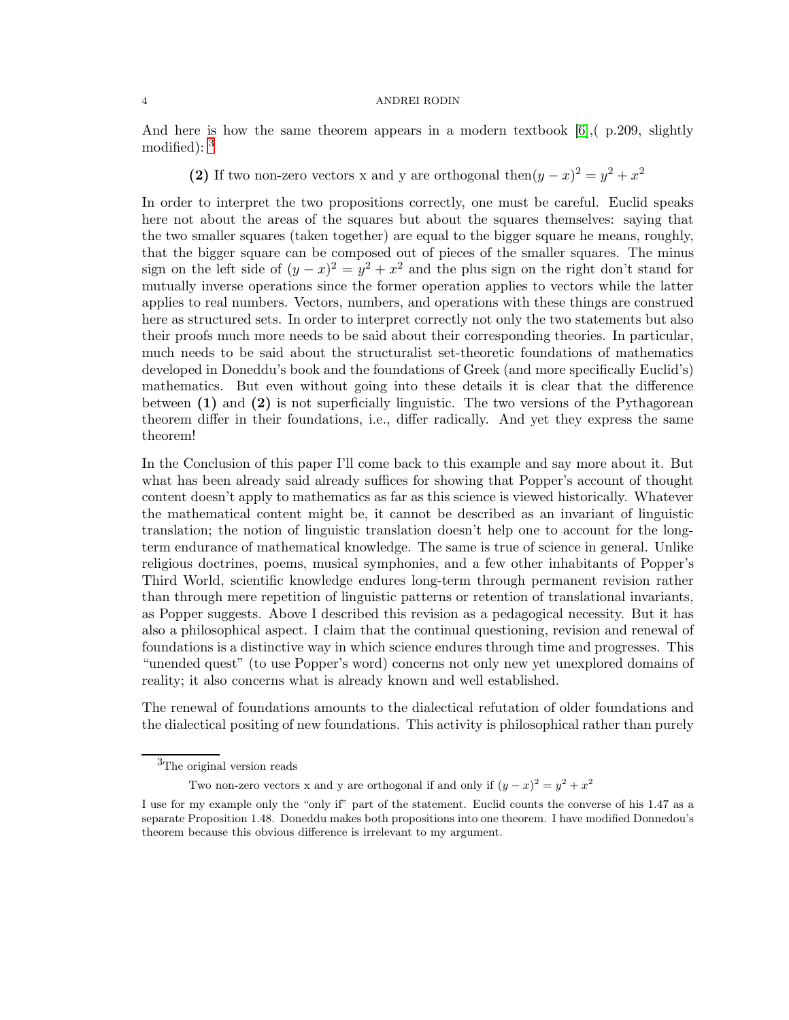And here is how the same theorem appears in a modern textbook  $[6]$ ,  $[6]$ ,  $[209]$ , slightly modified): <sup>[3](#page-3-0)</sup>

(2) If two non-zero vectors x and y are orthogonal then $(y - x)^2 = y^2 + x^2$ 

In order to interpret the two propositions correctly, one must be careful. Euclid speaks here not about the areas of the squares but about the squares themselves: saying that the two smaller squares (taken together) are equal to the bigger square he means, roughly, that the bigger square can be composed out of pieces of the smaller squares. The minus sign on the left side of  $(y - x)^2 = y^2 + x^2$  and the plus sign on the right don't stand for mutually inverse operations since the former operation applies to vectors while the latter applies to real numbers. Vectors, numbers, and operations with these things are construed here as structured sets. In order to interpret correctly not only the two statements but also their proofs much more needs to be said about their corresponding theories. In particular, much needs to be said about the structuralist set-theoretic foundations of mathematics developed in Doneddu's book and the foundations of Greek (and more specifically Euclid's) mathematics. But even without going into these details it is clear that the difference between (1) and (2) is not superficially linguistic. The two versions of the Pythagorean theorem differ in their foundations, i.e., differ radically. And yet they express the same theorem!

In the Conclusion of this paper I'll come back to this example and say more about it. But what has been already said already suffices for showing that Popper's account of thought content doesn't apply to mathematics as far as this science is viewed historically. Whatever the mathematical content might be, it cannot be described as an invariant of linguistic translation; the notion of linguistic translation doesn't help one to account for the longterm endurance of mathematical knowledge. The same is true of science in general. Unlike religious doctrines, poems, musical symphonies, and a few other inhabitants of Popper's Third World, scientific knowledge endures long-term through permanent revision rather than through mere repetition of linguistic patterns or retention of translational invariants, as Popper suggests. Above I described this revision as a pedagogical necessity. But it has also a philosophical aspect. I claim that the continual questioning, revision and renewal of foundations is a distinctive way in which science endures through time and progresses. This "unended quest" (to use Popper's word) concerns not only new yet unexplored domains of reality; it also concerns what is already known and well established.

The renewal of foundations amounts to the dialectical refutation of older foundations and the dialectical positing of new foundations. This activity is philosophical rather than purely

Two non-zero vectors x and y are orthogonal if and only if  $(y - x)^2 = y^2 + x^2$ 

<span id="page-3-0"></span><sup>3</sup>The original version reads

I use for my example only the "only if" part of the statement. Euclid counts the converse of his 1.47 as a separate Proposition 1.48. Doneddu makes both propositions into one theorem. I have modified Donnedou's theorem because this obvious difference is irrelevant to my argument.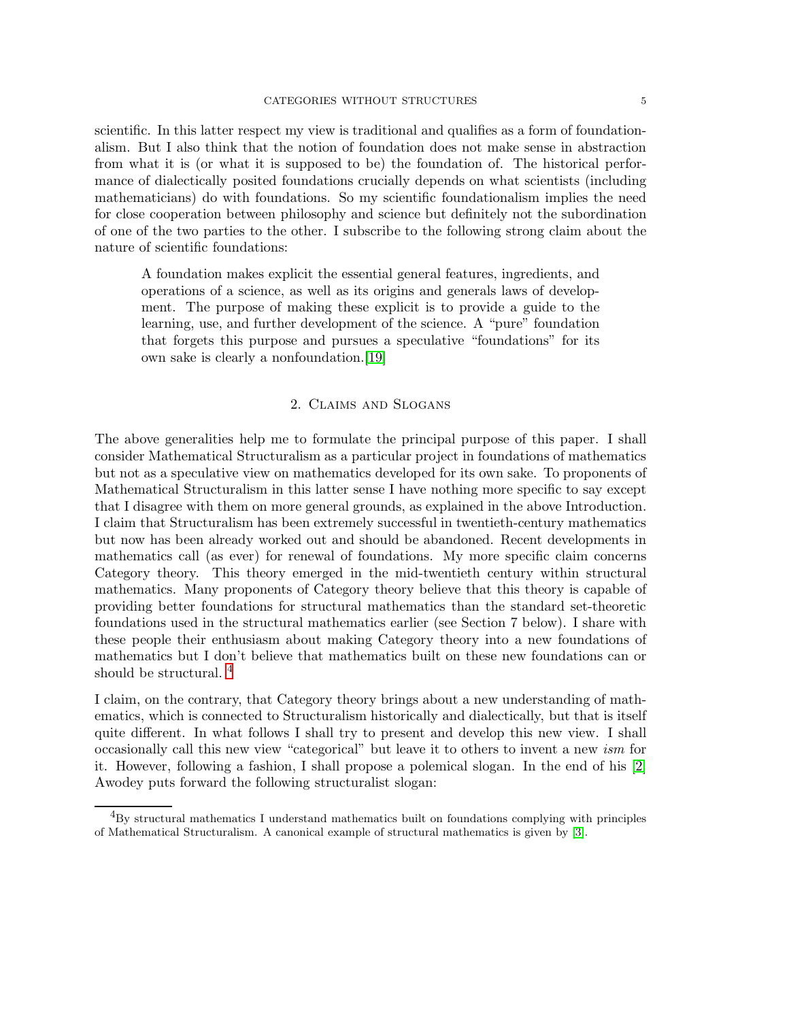scientific. In this latter respect my view is traditional and qualifies as a form of foundationalism. But I also think that the notion of foundation does not make sense in abstraction from what it is (or what it is supposed to be) the foundation of. The historical performance of dialectically posited foundations crucially depends on what scientists (including mathematicians) do with foundations. So my scientific foundationalism implies the need for close cooperation between philosophy and science but definitely not the subordination of one of the two parties to the other. I subscribe to the following strong claim about the nature of scientific foundations:

A foundation makes explicit the essential general features, ingredients, and operations of a science, as well as its origins and generals laws of development. The purpose of making these explicit is to provide a guide to the learning, use, and further development of the science. A "pure" foundation that forgets this purpose and pursues a speculative "foundations" for its own sake is clearly a nonfoundation.[\[19\]](#page-27-1)

# 2. Claims and Slogans

The above generalities help me to formulate the principal purpose of this paper. I shall consider Mathematical Structuralism as a particular project in foundations of mathematics but not as a speculative view on mathematics developed for its own sake. To proponents of Mathematical Structuralism in this latter sense I have nothing more specific to say except that I disagree with them on more general grounds, as explained in the above Introduction. I claim that Structuralism has been extremely successful in twentieth-century mathematics but now has been already worked out and should be abandoned. Recent developments in mathematics call (as ever) for renewal of foundations. My more specific claim concerns Category theory. This theory emerged in the mid-twentieth century within structural mathematics. Many proponents of Category theory believe that this theory is capable of providing better foundations for structural mathematics than the standard set-theoretic foundations used in the structural mathematics earlier (see Section 7 below). I share with these people their enthusiasm about making Category theory into a new foundations of mathematics but I don't believe that mathematics built on these new foundations can or should be structural. <sup>[4](#page-4-0)</sup>

I claim, on the contrary, that Category theory brings about a new understanding of mathematics, which is connected to Structuralism historically and dialectically, but that is itself quite different. In what follows I shall try to present and develop this new view. I shall occasionally call this new view "categorical" but leave it to others to invent a new ism for it. However, following a fashion, I shall propose a polemical slogan. In the end of his [\[2\]](#page-26-2) Awodey puts forward the following structuralist slogan:

<span id="page-4-0"></span> $^{4}$ By structural mathematics I understand mathematics built on foundations complying with principles of Mathematical Structuralism. A canonical example of structural mathematics is given by [\[3\]](#page-26-3).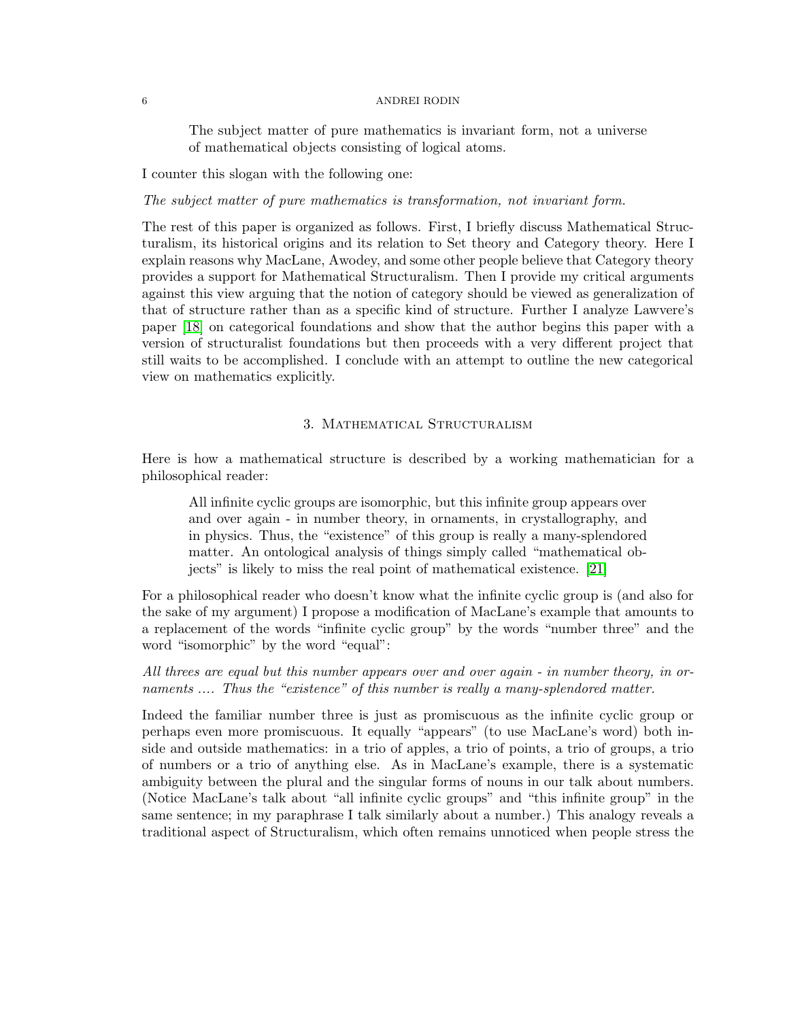The subject matter of pure mathematics is invariant form, not a universe of mathematical objects consisting of logical atoms.

I counter this slogan with the following one:

The subject matter of pure mathematics is transformation, not invariant form.

The rest of this paper is organized as follows. First, I briefly discuss Mathematical Structuralism, its historical origins and its relation to Set theory and Category theory. Here I explain reasons why MacLane, Awodey, and some other people believe that Category theory provides a support for Mathematical Structuralism. Then I provide my critical arguments against this view arguing that the notion of category should be viewed as generalization of that of structure rather than as a specific kind of structure. Further I analyze Lawvere's paper [\[18\]](#page-27-2) on categorical foundations and show that the author begins this paper with a version of structuralist foundations but then proceeds with a very different project that still waits to be accomplished. I conclude with an attempt to outline the new categorical view on mathematics explicitly.

## 3. Mathematical Structuralism

Here is how a mathematical structure is described by a working mathematician for a philosophical reader:

All infinite cyclic groups are isomorphic, but this infinite group appears over and over again - in number theory, in ornaments, in crystallography, and in physics. Thus, the "existence" of this group is really a many-splendored matter. An ontological analysis of things simply called "mathematical objects" is likely to miss the real point of mathematical existence. [\[21\]](#page-27-3)

For a philosophical reader who doesn't know what the infinite cyclic group is (and also for the sake of my argument) I propose a modification of MacLane's example that amounts to a replacement of the words "infinite cyclic group" by the words "number three" and the word "isomorphic" by the word "equal":

All threes are equal but this number appears over and over again - in number theory, in ornaments .... Thus the "existence" of this number is really a many-splendored matter.

Indeed the familiar number three is just as promiscuous as the infinite cyclic group or perhaps even more promiscuous. It equally "appears" (to use MacLane's word) both inside and outside mathematics: in a trio of apples, a trio of points, a trio of groups, a trio of numbers or a trio of anything else. As in MacLane's example, there is a systematic ambiguity between the plural and the singular forms of nouns in our talk about numbers. (Notice MacLane's talk about "all infinite cyclic groups" and "this infinite group" in the same sentence; in my paraphrase I talk similarly about a number.) This analogy reveals a traditional aspect of Structuralism, which often remains unnoticed when people stress the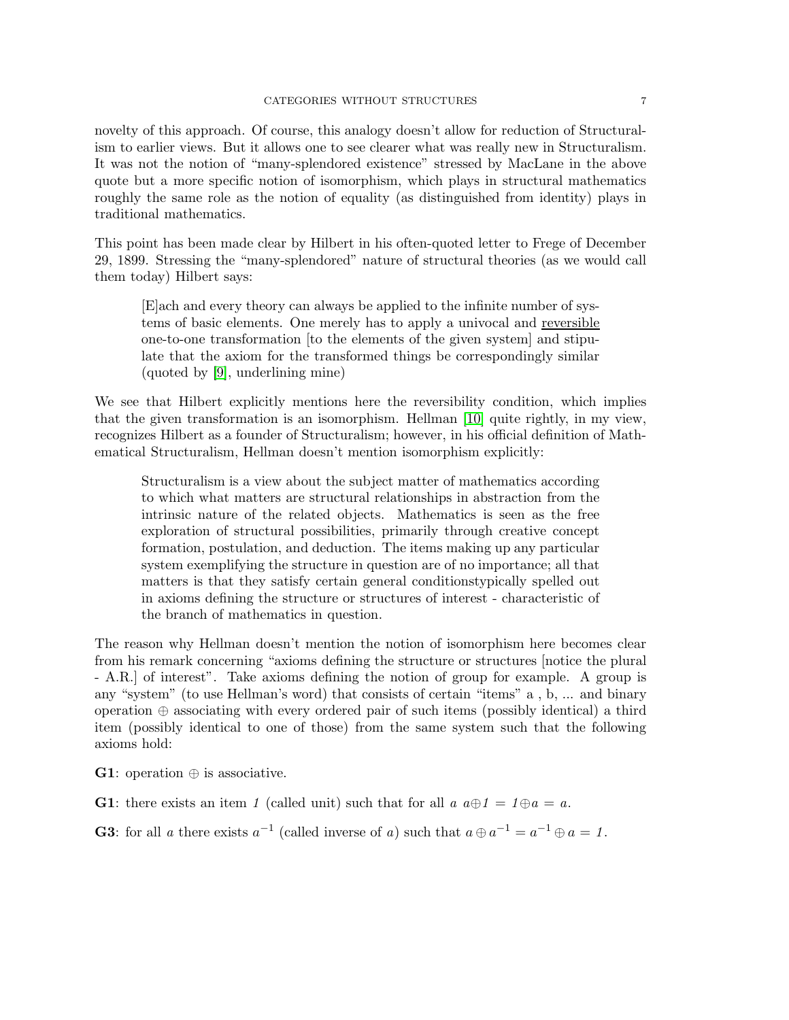novelty of this approach. Of course, this analogy doesn't allow for reduction of Structuralism to earlier views. But it allows one to see clearer what was really new in Structuralism. It was not the notion of "many-splendored existence" stressed by MacLane in the above quote but a more specific notion of isomorphism, which plays in structural mathematics roughly the same role as the notion of equality (as distinguished from identity) plays in traditional mathematics.

This point has been made clear by Hilbert in his often-quoted letter to Frege of December 29, 1899. Stressing the "many-splendored" nature of structural theories (as we would call them today) Hilbert says:

[E]ach and every theory can always be applied to the infinite number of systems of basic elements. One merely has to apply a univocal and reversible one-to-one transformation [to the elements of the given system] and stipulate that the axiom for the transformed things be correspondingly similar (quoted by [\[9\]](#page-26-4), underlining mine)

We see that Hilbert explicitly mentions here the reversibility condition, which implies that the given transformation is an isomorphism. Hellman [\[10\]](#page-26-5) quite rightly, in my view, recognizes Hilbert as a founder of Structuralism; however, in his official definition of Mathematical Structuralism, Hellman doesn't mention isomorphism explicitly:

Structuralism is a view about the subject matter of mathematics according to which what matters are structural relationships in abstraction from the intrinsic nature of the related objects. Mathematics is seen as the free exploration of structural possibilities, primarily through creative concept formation, postulation, and deduction. The items making up any particular system exemplifying the structure in question are of no importance; all that matters is that they satisfy certain general conditionstypically spelled out in axioms defining the structure or structures of interest - characteristic of the branch of mathematics in question.

The reason why Hellman doesn't mention the notion of isomorphism here becomes clear from his remark concerning "axioms defining the structure or structures [notice the plural - A.R.] of interest". Take axioms defining the notion of group for example. A group is any "system" (to use Hellman's word) that consists of certain "items" a , b, ... and binary operation  $\oplus$  associating with every ordered pair of such items (possibly identical) a third item (possibly identical to one of those) from the same system such that the following axioms hold:

G1: operation  $\oplus$  is associative.

**G1**: there exists an item 1 (called unit) such that for all  $a \ a \oplus 1 = 1 \oplus a = a$ .

**G3**: for all a there exists  $a^{-1}$  (called inverse of a) such that  $a \oplus a^{-1} = a^{-1} \oplus a = 1$ .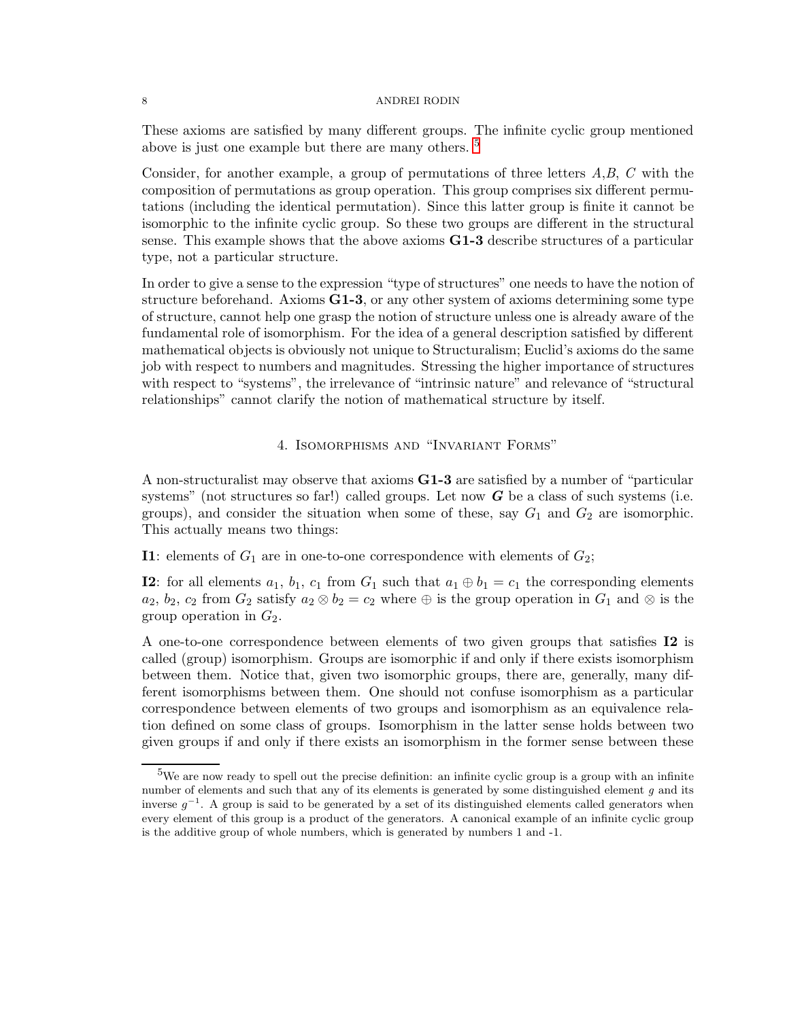These axioms are satisfied by many different groups. The infinite cyclic group mentioned above is just one example but there are many others. [5](#page-7-0)

Consider, for another example, a group of permutations of three letters A,B, C with the composition of permutations as group operation. This group comprises six different permutations (including the identical permutation). Since this latter group is finite it cannot be isomorphic to the infinite cyclic group. So these two groups are different in the structural sense. This example shows that the above axioms **G1-3** describe structures of a particular type, not a particular structure.

In order to give a sense to the expression "type of structures" one needs to have the notion of structure beforehand. Axioms  $G1-3$ , or any other system of axioms determining some type of structure, cannot help one grasp the notion of structure unless one is already aware of the fundamental role of isomorphism. For the idea of a general description satisfied by different mathematical objects is obviously not unique to Structuralism; Euclid's axioms do the same job with respect to numbers and magnitudes. Stressing the higher importance of structures with respect to "systems", the irrelevance of "intrinsic nature" and relevance of "structural relationships" cannot clarify the notion of mathematical structure by itself.

## 4. Isomorphisms and "Invariant Forms"

A non-structuralist may observe that axioms G1-3 are satisfied by a number of "particular systems" (not structures so far!) called groups. Let now  $G$  be a class of such systems (i.e. groups), and consider the situation when some of these, say  $G_1$  and  $G_2$  are isomorphic. This actually means two things:

I1: elements of  $G_1$  are in one-to-one correspondence with elements of  $G_2$ ;

**I2**: for all elements  $a_1$ ,  $b_1$ ,  $c_1$  from  $G_1$  such that  $a_1 \oplus b_1 = c_1$  the corresponding elements  $a_2, b_2, c_2$  from  $G_2$  satisfy  $a_2 \otimes b_2 = c_2$  where  $\oplus$  is the group operation in  $G_1$  and  $\otimes$  is the group operation in  $G_2$ .

A one-to-one correspondence between elements of two given groups that satisfies I2 is called (group) isomorphism. Groups are isomorphic if and only if there exists isomorphism between them. Notice that, given two isomorphic groups, there are, generally, many different isomorphisms between them. One should not confuse isomorphism as a particular correspondence between elements of two groups and isomorphism as an equivalence relation defined on some class of groups. Isomorphism in the latter sense holds between two given groups if and only if there exists an isomorphism in the former sense between these

<span id="page-7-0"></span><sup>&</sup>lt;sup>5</sup>We are now ready to spell out the precise definition: an infinite cyclic group is a group with an infinite number of elements and such that any of its elements is generated by some distinguished element  $g$  and its inverse  $g^{-1}$ . A group is said to be generated by a set of its distinguished elements called generators when every element of this group is a product of the generators. A canonical example of an infinite cyclic group is the additive group of whole numbers, which is generated by numbers 1 and -1.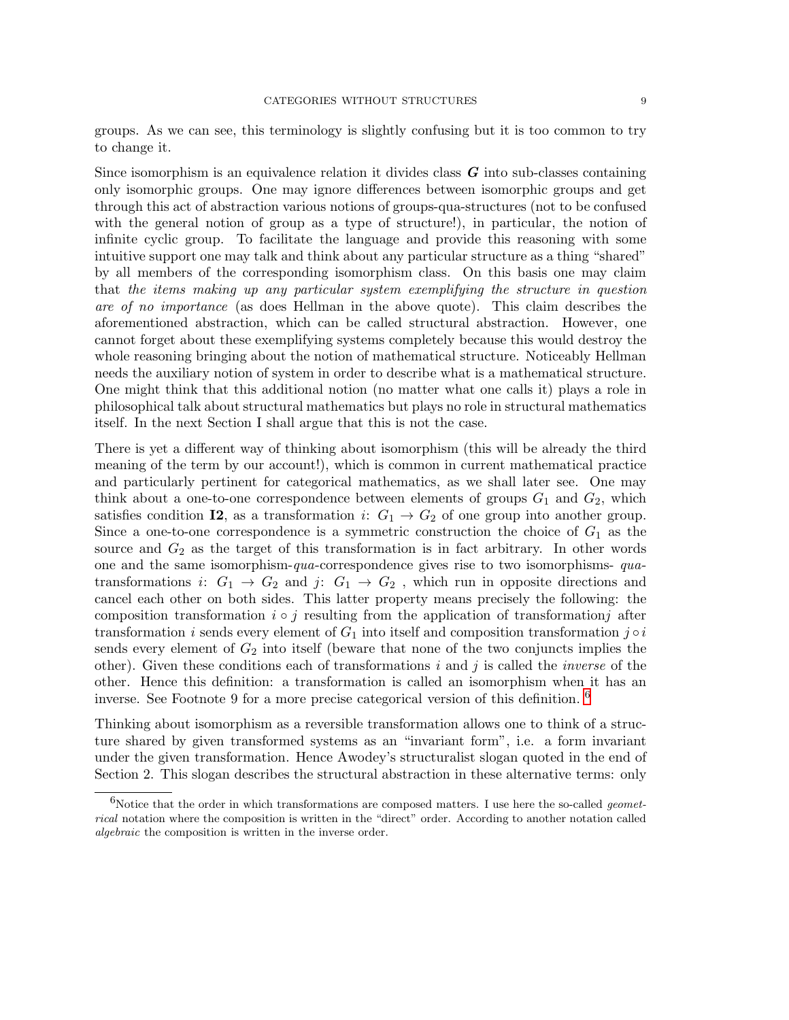groups. As we can see, this terminology is slightly confusing but it is too common to try to change it.

Since isomorphism is an equivalence relation it divides class  $G$  into sub-classes containing only isomorphic groups. One may ignore differences between isomorphic groups and get through this act of abstraction various notions of groups-qua-structures (not to be confused with the general notion of group as a type of structure!), in particular, the notion of infinite cyclic group. To facilitate the language and provide this reasoning with some intuitive support one may talk and think about any particular structure as a thing "shared" by all members of the corresponding isomorphism class. On this basis one may claim that the items making up any particular system exemplifying the structure in question are of no importance (as does Hellman in the above quote). This claim describes the aforementioned abstraction, which can be called structural abstraction. However, one cannot forget about these exemplifying systems completely because this would destroy the whole reasoning bringing about the notion of mathematical structure. Noticeably Hellman needs the auxiliary notion of system in order to describe what is a mathematical structure. One might think that this additional notion (no matter what one calls it) plays a role in philosophical talk about structural mathematics but plays no role in structural mathematics itself. In the next Section I shall argue that this is not the case.

There is yet a different way of thinking about isomorphism (this will be already the third meaning of the term by our account!), which is common in current mathematical practice and particularly pertinent for categorical mathematics, as we shall later see. One may think about a one-to-one correspondence between elements of groups  $G_1$  and  $G_2$ , which satisfies condition **I2**, as a transformation i:  $G_1 \rightarrow G_2$  of one group into another group. Since a one-to-one correspondence is a symmetric construction the choice of  $G_1$  as the source and  $G_2$  as the target of this transformation is in fact arbitrary. In other words one and the same isomorphism-qua-correspondence gives rise to two isomorphisms- quatransformations i:  $G_1 \rightarrow G_2$  and j:  $G_1 \rightarrow G_2$ , which run in opposite directions and cancel each other on both sides. This latter property means precisely the following: the composition transformation  $i \circ j$  resulting from the application of transformation after transformation i sends every element of  $G_1$  into itself and composition transformation j ∘ i sends every element of  $G_2$  into itself (beware that none of the two conjuncts implies the other). Given these conditions each of transformations i and j is called the inverse of the other. Hence this definition: a transformation is called an isomorphism when it has an inverse. See Footnote 9 for a more precise categorical version of this definition. [6](#page-8-0)

Thinking about isomorphism as a reversible transformation allows one to think of a structure shared by given transformed systems as an "invariant form", i.e. a form invariant under the given transformation. Hence Awodey's structuralist slogan quoted in the end of Section 2. This slogan describes the structural abstraction in these alternative terms: only

<span id="page-8-0"></span> $6$ Notice that the order in which transformations are composed matters. I use here the so-called *geomet*rical notation where the composition is written in the "direct" order. According to another notation called algebraic the composition is written in the inverse order.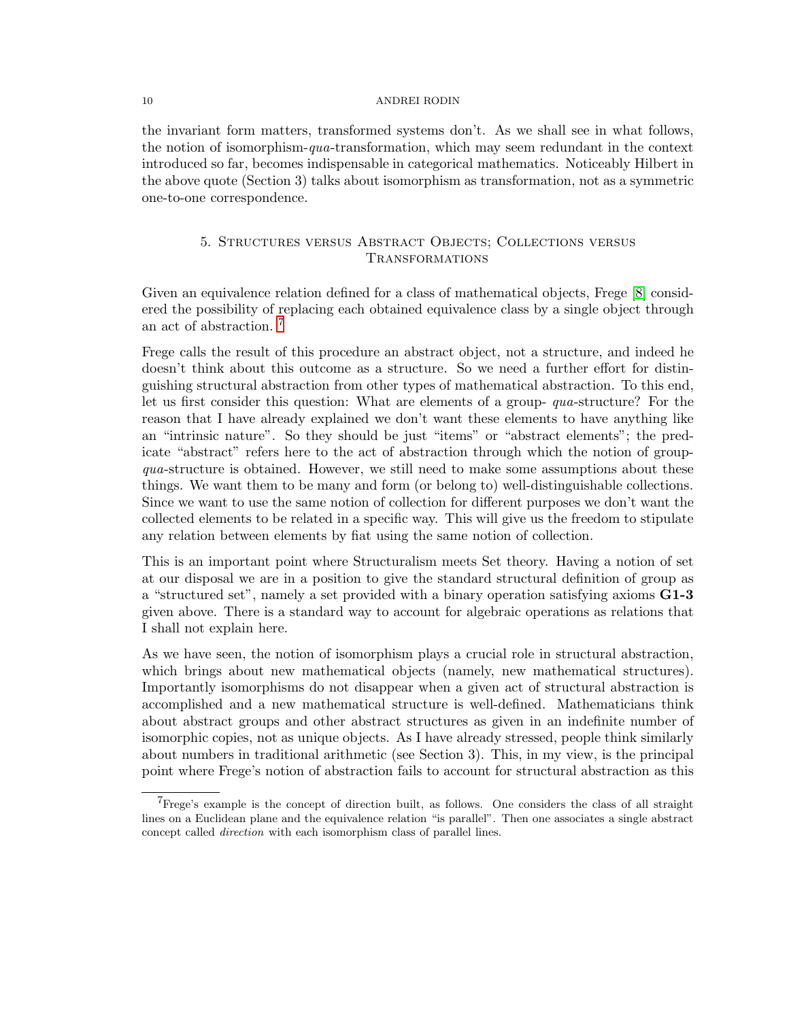the invariant form matters, transformed systems don't. As we shall see in what follows, the notion of isomorphism-qua-transformation, which may seem redundant in the context introduced so far, becomes indispensable in categorical mathematics. Noticeably Hilbert in the above quote (Section 3) talks about isomorphism as transformation, not as a symmetric one-to-one correspondence.

# 5. Structures versus Abstract Objects; Collections versus Transformations

Given an equivalence relation defined for a class of mathematical objects, Frege [\[8\]](#page-26-6) considered the possibility of replacing each obtained equivalence class by a single object through an act of abstraction.<sup>[7](#page-9-0)</sup>

Frege calls the result of this procedure an abstract object, not a structure, and indeed he doesn't think about this outcome as a structure. So we need a further effort for distinguishing structural abstraction from other types of mathematical abstraction. To this end, let us first consider this question: What are elements of a group- qua-structure? For the reason that I have already explained we don't want these elements to have anything like an "intrinsic nature". So they should be just "items" or "abstract elements"; the predicate "abstract" refers here to the act of abstraction through which the notion of groupqua-structure is obtained. However, we still need to make some assumptions about these things. We want them to be many and form (or belong to) well-distinguishable collections. Since we want to use the same notion of collection for different purposes we don't want the collected elements to be related in a specific way. This will give us the freedom to stipulate any relation between elements by fiat using the same notion of collection.

This is an important point where Structuralism meets Set theory. Having a notion of set at our disposal we are in a position to give the standard structural definition of group as a "structured set", namely a set provided with a binary operation satisfying axioms G1-3 given above. There is a standard way to account for algebraic operations as relations that I shall not explain here.

As we have seen, the notion of isomorphism plays a crucial role in structural abstraction, which brings about new mathematical objects (namely, new mathematical structures). Importantly isomorphisms do not disappear when a given act of structural abstraction is accomplished and a new mathematical structure is well-defined. Mathematicians think about abstract groups and other abstract structures as given in an indefinite number of isomorphic copies, not as unique objects. As I have already stressed, people think similarly about numbers in traditional arithmetic (see Section 3). This, in my view, is the principal point where Frege's notion of abstraction fails to account for structural abstraction as this

<span id="page-9-0"></span><sup>7</sup>Frege's example is the concept of direction built, as follows. One considers the class of all straight lines on a Euclidean plane and the equivalence relation "is parallel". Then one associates a single abstract concept called direction with each isomorphism class of parallel lines.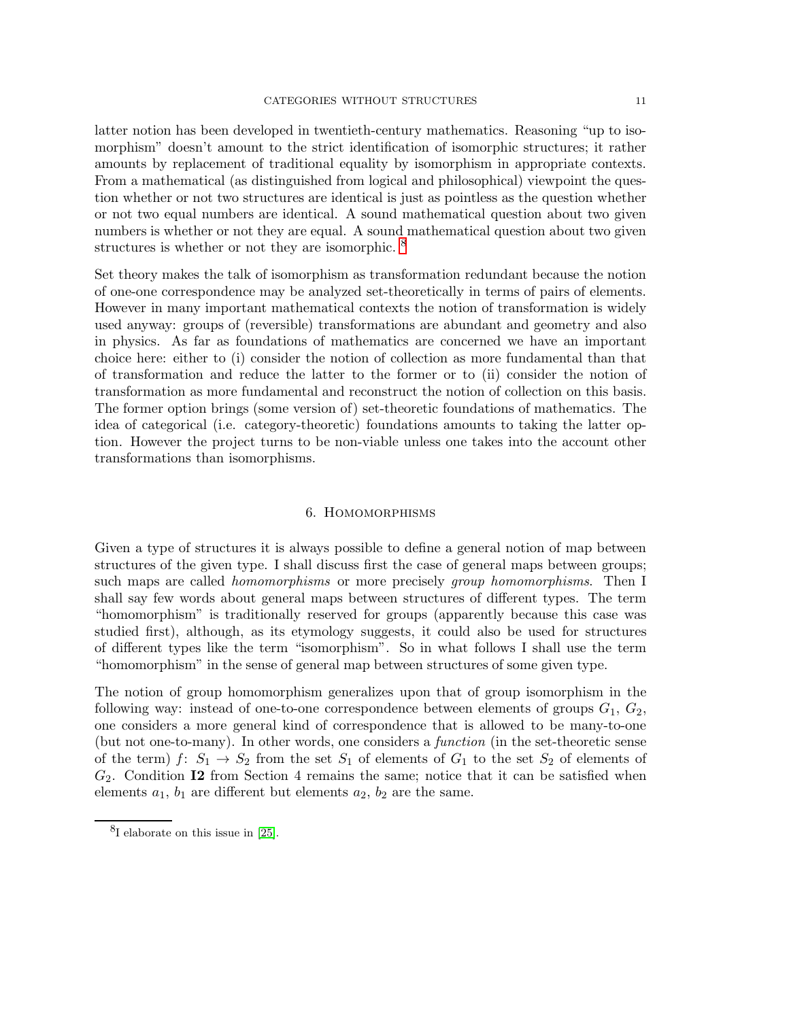latter notion has been developed in twentieth-century mathematics. Reasoning "up to isomorphism" doesn't amount to the strict identification of isomorphic structures; it rather amounts by replacement of traditional equality by isomorphism in appropriate contexts. From a mathematical (as distinguished from logical and philosophical) viewpoint the question whether or not two structures are identical is just as pointless as the question whether or not two equal numbers are identical. A sound mathematical question about two given numbers is whether or not they are equal. A sound mathematical question about two given structures is whether or not they are isomorphic. <sup>[8](#page-10-0)</sup>

Set theory makes the talk of isomorphism as transformation redundant because the notion of one-one correspondence may be analyzed set-theoretically in terms of pairs of elements. However in many important mathematical contexts the notion of transformation is widely used anyway: groups of (reversible) transformations are abundant and geometry and also in physics. As far as foundations of mathematics are concerned we have an important choice here: either to (i) consider the notion of collection as more fundamental than that of transformation and reduce the latter to the former or to (ii) consider the notion of transformation as more fundamental and reconstruct the notion of collection on this basis. The former option brings (some version of) set-theoretic foundations of mathematics. The idea of categorical (i.e. category-theoretic) foundations amounts to taking the latter option. However the project turns to be non-viable unless one takes into the account other transformations than isomorphisms.

### 6. Homomorphisms

Given a type of structures it is always possible to define a general notion of map between structures of the given type. I shall discuss first the case of general maps between groups; such maps are called *homomorphisms* or more precisely *group homomorphisms*. Then I shall say few words about general maps between structures of different types. The term "homomorphism" is traditionally reserved for groups (apparently because this case was studied first), although, as its etymology suggests, it could also be used for structures of different types like the term "isomorphism". So in what follows I shall use the term "homomorphism" in the sense of general map between structures of some given type.

The notion of group homomorphism generalizes upon that of group isomorphism in the following way: instead of one-to-one correspondence between elements of groups  $G_1, G_2$ , one considers a more general kind of correspondence that is allowed to be many-to-one (but not one-to-many). In other words, one considers a function (in the set-theoretic sense of the term)  $f: S_1 \to S_2$  from the set  $S_1$  of elements of  $G_1$  to the set  $S_2$  of elements of  $G_2$ . Condition I2 from Section 4 remains the same; notice that it can be satisfied when elements  $a_1, b_1$  are different but elements  $a_2, b_2$  are the same.

<span id="page-10-0"></span> ${}^{8}I$  elaborate on this issue in [\[25\]](#page-27-4).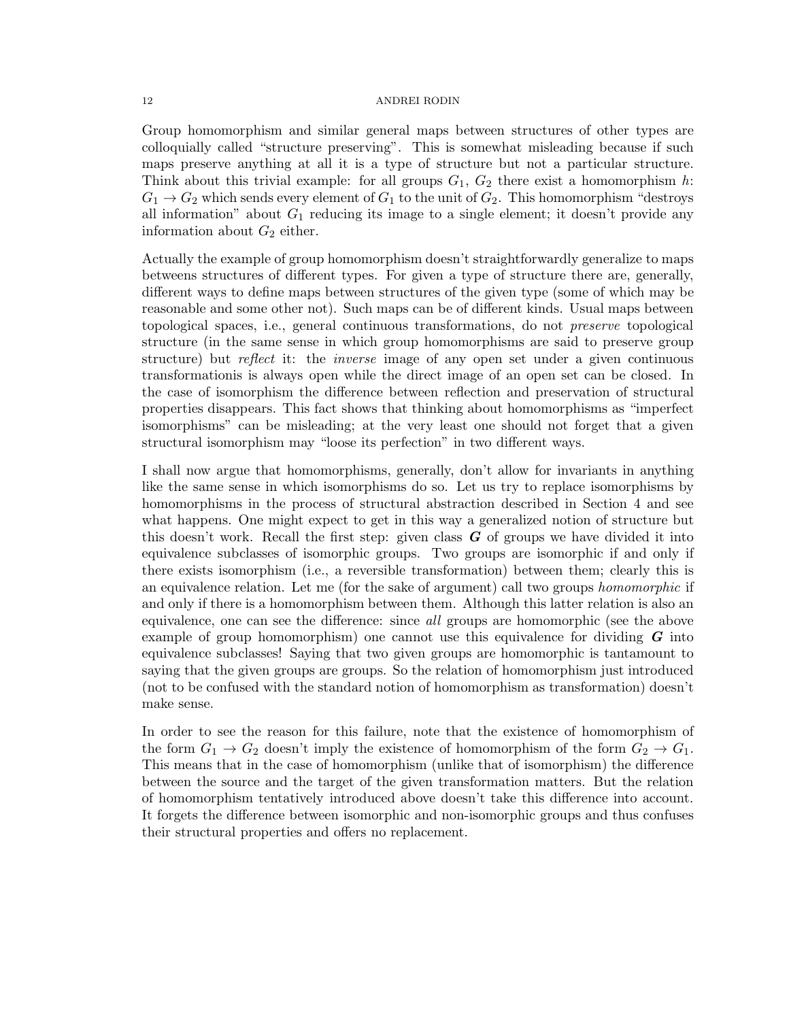Group homomorphism and similar general maps between structures of other types are colloquially called "structure preserving". This is somewhat misleading because if such maps preserve anything at all it is a type of structure but not a particular structure. Think about this trivial example: for all groups  $G_1, G_2$  there exist a homomorphism h:  $G_1 \rightarrow G_2$  which sends every element of  $G_1$  to the unit of  $G_2$ . This homomorphism "destroys" all information" about  $G_1$  reducing its image to a single element; it doesn't provide any information about  $G_2$  either.

Actually the example of group homomorphism doesn't straightforwardly generalize to maps betweens structures of different types. For given a type of structure there are, generally, different ways to define maps between structures of the given type (some of which may be reasonable and some other not). Such maps can be of different kinds. Usual maps between topological spaces, i.e., general continuous transformations, do not preserve topological structure (in the same sense in which group homomorphisms are said to preserve group structure) but reflect it: the *inverse* image of any open set under a given continuous transformationis is always open while the direct image of an open set can be closed. In the case of isomorphism the difference between reflection and preservation of structural properties disappears. This fact shows that thinking about homomorphisms as "imperfect isomorphisms" can be misleading; at the very least one should not forget that a given structural isomorphism may "loose its perfection" in two different ways.

I shall now argue that homomorphisms, generally, don't allow for invariants in anything like the same sense in which isomorphisms do so. Let us try to replace isomorphisms by homomorphisms in the process of structural abstraction described in Section 4 and see what happens. One might expect to get in this way a generalized notion of structure but this doesn't work. Recall the first step: given class  $G$  of groups we have divided it into equivalence subclasses of isomorphic groups. Two groups are isomorphic if and only if there exists isomorphism (i.e., a reversible transformation) between them; clearly this is an equivalence relation. Let me (for the sake of argument) call two groups homomorphic if and only if there is a homomorphism between them. Although this latter relation is also an equivalence, one can see the difference: since all groups are homomorphic (see the above example of group homomorphism) one cannot use this equivalence for dividing  $G$  into equivalence subclasses! Saying that two given groups are homomorphic is tantamount to saying that the given groups are groups. So the relation of homomorphism just introduced (not to be confused with the standard notion of homomorphism as transformation) doesn't make sense.

In order to see the reason for this failure, note that the existence of homomorphism of the form  $G_1 \rightarrow G_2$  doesn't imply the existence of homomorphism of the form  $G_2 \rightarrow G_1$ . This means that in the case of homomorphism (unlike that of isomorphism) the difference between the source and the target of the given transformation matters. But the relation of homomorphism tentatively introduced above doesn't take this difference into account. It forgets the difference between isomorphic and non-isomorphic groups and thus confuses their structural properties and offers no replacement.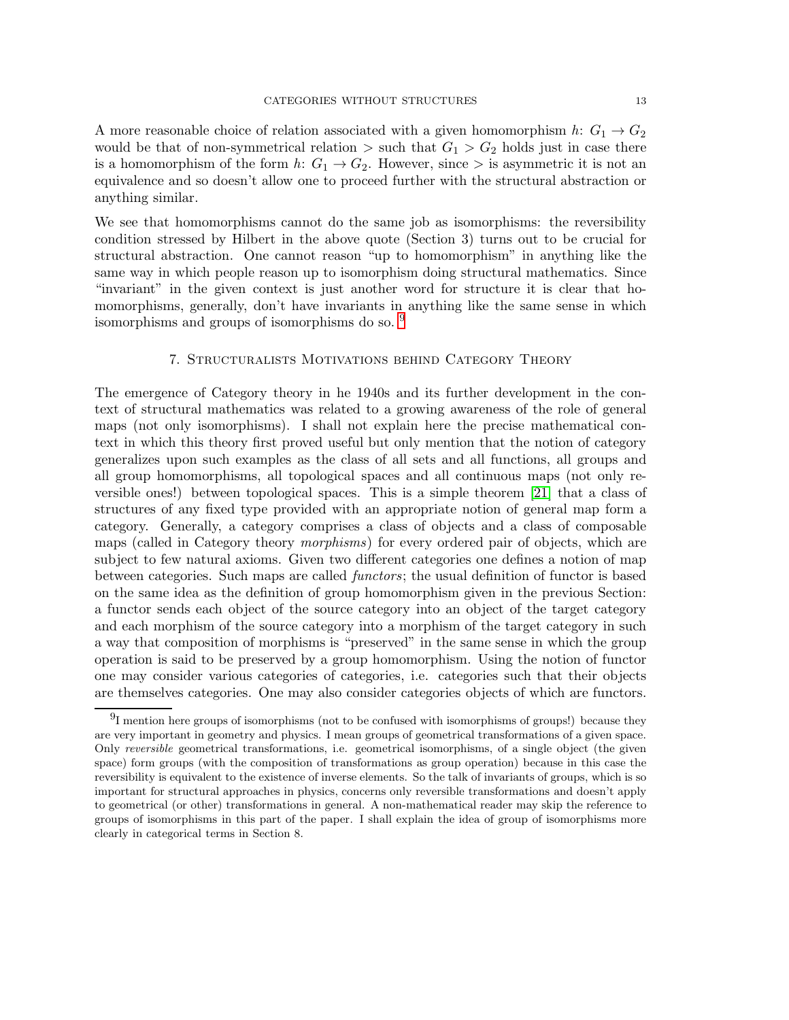A more reasonable choice of relation associated with a given homomorphism h:  $G_1 \rightarrow G_2$ would be that of non-symmetrical relation  $\gt$  such that  $G_1 \gt G_2$  holds just in case there is a homomorphism of the form h:  $G_1 \rightarrow G_2$ . However, since  $>$  is asymmetric it is not an equivalence and so doesn't allow one to proceed further with the structural abstraction or anything similar.

We see that homomorphisms cannot do the same job as isomorphisms: the reversibility condition stressed by Hilbert in the above quote (Section 3) turns out to be crucial for structural abstraction. One cannot reason "up to homomorphism" in anything like the same way in which people reason up to isomorphism doing structural mathematics. Since "invariant" in the given context is just another word for structure it is clear that homomorphisms, generally, don't have invariants in anything like the same sense in which isomorphisms and groups of isomorphisms do so. <sup>[9](#page-12-0)</sup>

## 7. Structuralists Motivations behind Category Theory

The emergence of Category theory in he 1940s and its further development in the context of structural mathematics was related to a growing awareness of the role of general maps (not only isomorphisms). I shall not explain here the precise mathematical context in which this theory first proved useful but only mention that the notion of category generalizes upon such examples as the class of all sets and all functions, all groups and all group homomorphisms, all topological spaces and all continuous maps (not only reversible ones!) between topological spaces. This is a simple theorem [\[21\]](#page-27-3) that a class of structures of any fixed type provided with an appropriate notion of general map form a category. Generally, a category comprises a class of objects and a class of composable maps (called in Category theory *morphisms*) for every ordered pair of objects, which are subject to few natural axioms. Given two different categories one defines a notion of map between categories. Such maps are called functors; the usual definition of functor is based on the same idea as the definition of group homomorphism given in the previous Section: a functor sends each object of the source category into an object of the target category and each morphism of the source category into a morphism of the target category in such a way that composition of morphisms is "preserved" in the same sense in which the group operation is said to be preserved by a group homomorphism. Using the notion of functor one may consider various categories of categories, i.e. categories such that their objects are themselves categories. One may also consider categories objects of which are functors.

<span id="page-12-0"></span> $9I$  mention here groups of isomorphisms (not to be confused with isomorphisms of groups!) because they are very important in geometry and physics. I mean groups of geometrical transformations of a given space. Only reversible geometrical transformations, i.e. geometrical isomorphisms, of a single object (the given space) form groups (with the composition of transformations as group operation) because in this case the reversibility is equivalent to the existence of inverse elements. So the talk of invariants of groups, which is so important for structural approaches in physics, concerns only reversible transformations and doesn't apply to geometrical (or other) transformations in general. A non-mathematical reader may skip the reference to groups of isomorphisms in this part of the paper. I shall explain the idea of group of isomorphisms more clearly in categorical terms in Section 8.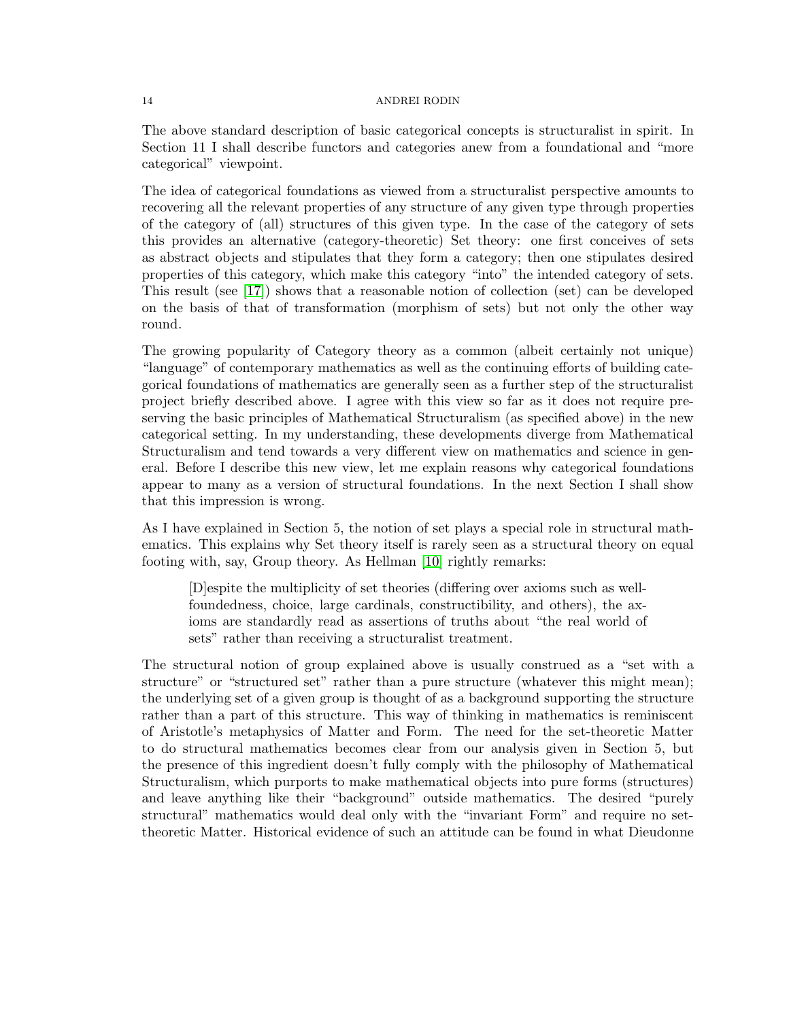The above standard description of basic categorical concepts is structuralist in spirit. In Section 11 I shall describe functors and categories anew from a foundational and "more categorical" viewpoint.

The idea of categorical foundations as viewed from a structuralist perspective amounts to recovering all the relevant properties of any structure of any given type through properties of the category of (all) structures of this given type. In the case of the category of sets this provides an alternative (category-theoretic) Set theory: one first conceives of sets as abstract objects and stipulates that they form a category; then one stipulates desired properties of this category, which make this category "into" the intended category of sets. This result (see [\[17\]](#page-27-5)) shows that a reasonable notion of collection (set) can be developed on the basis of that of transformation (morphism of sets) but not only the other way round.

The growing popularity of Category theory as a common (albeit certainly not unique) "language" of contemporary mathematics as well as the continuing efforts of building categorical foundations of mathematics are generally seen as a further step of the structuralist project briefly described above. I agree with this view so far as it does not require preserving the basic principles of Mathematical Structuralism (as specified above) in the new categorical setting. In my understanding, these developments diverge from Mathematical Structuralism and tend towards a very different view on mathematics and science in general. Before I describe this new view, let me explain reasons why categorical foundations appear to many as a version of structural foundations. In the next Section I shall show that this impression is wrong.

As I have explained in Section 5, the notion of set plays a special role in structural mathematics. This explains why Set theory itself is rarely seen as a structural theory on equal footing with, say, Group theory. As Hellman [\[10\]](#page-26-5) rightly remarks:

[D]espite the multiplicity of set theories (differing over axioms such as wellfoundedness, choice, large cardinals, constructibility, and others), the axioms are standardly read as assertions of truths about "the real world of sets" rather than receiving a structuralist treatment.

The structural notion of group explained above is usually construed as a "set with a structure" or "structured set" rather than a pure structure (whatever this might mean); the underlying set of a given group is thought of as a background supporting the structure rather than a part of this structure. This way of thinking in mathematics is reminiscent of Aristotle's metaphysics of Matter and Form. The need for the set-theoretic Matter to do structural mathematics becomes clear from our analysis given in Section 5, but the presence of this ingredient doesn't fully comply with the philosophy of Mathematical Structuralism, which purports to make mathematical objects into pure forms (structures) and leave anything like their "background" outside mathematics. The desired "purely structural" mathematics would deal only with the "invariant Form" and require no settheoretic Matter. Historical evidence of such an attitude can be found in what Dieudonne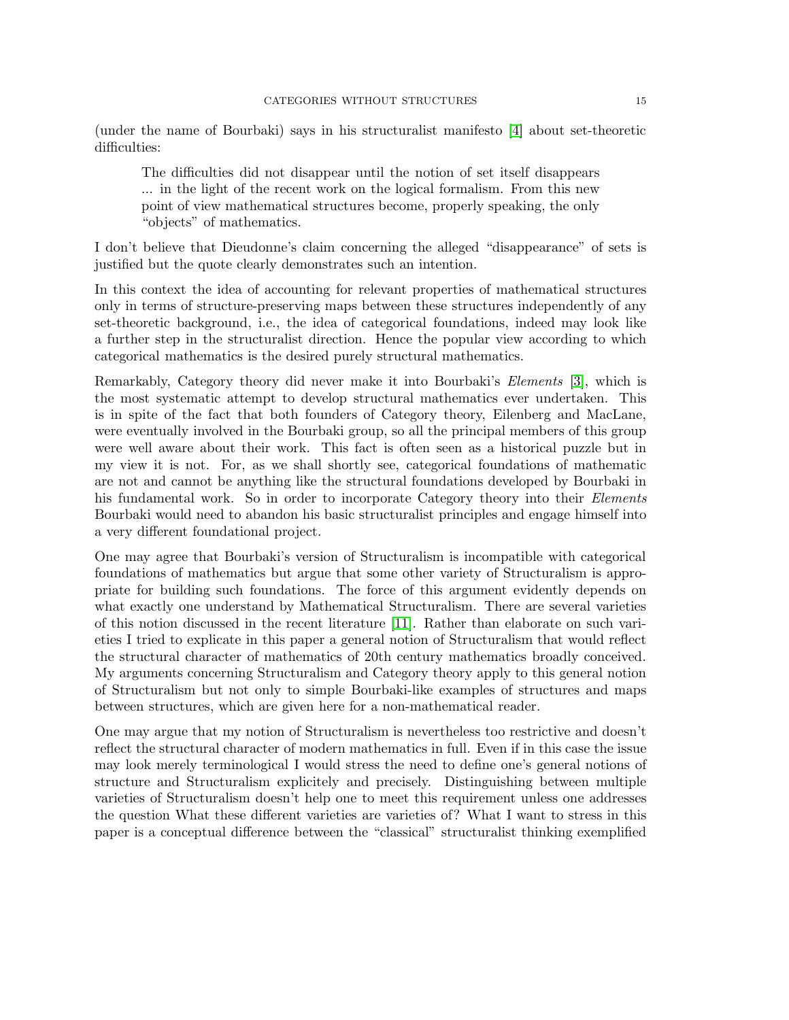(under the name of Bourbaki) says in his structuralist manifesto [\[4\]](#page-26-7) about set-theoretic difficulties:

The difficulties did not disappear until the notion of set itself disappears ... in the light of the recent work on the logical formalism. From this new point of view mathematical structures become, properly speaking, the only "objects" of mathematics.

I don't believe that Dieudonne's claim concerning the alleged "disappearance" of sets is justified but the quote clearly demonstrates such an intention.

In this context the idea of accounting for relevant properties of mathematical structures only in terms of structure-preserving maps between these structures independently of any set-theoretic background, i.e., the idea of categorical foundations, indeed may look like a further step in the structuralist direction. Hence the popular view according to which categorical mathematics is the desired purely structural mathematics.

Remarkably, Category theory did never make it into Bourbaki's Elements [\[3\]](#page-26-3), which is the most systematic attempt to develop structural mathematics ever undertaken. This is in spite of the fact that both founders of Category theory, Eilenberg and MacLane, were eventually involved in the Bourbaki group, so all the principal members of this group were well aware about their work. This fact is often seen as a historical puzzle but in my view it is not. For, as we shall shortly see, categorical foundations of mathematic are not and cannot be anything like the structural foundations developed by Bourbaki in his fundamental work. So in order to incorporate Category theory into their Elements Bourbaki would need to abandon his basic structuralist principles and engage himself into a very different foundational project.

One may agree that Bourbaki's version of Structuralism is incompatible with categorical foundations of mathematics but argue that some other variety of Structuralism is appropriate for building such foundations. The force of this argument evidently depends on what exactly one understand by Mathematical Structuralism. There are several varieties of this notion discussed in the recent literature [\[11\]](#page-26-8). Rather than elaborate on such varieties I tried to explicate in this paper a general notion of Structuralism that would reflect the structural character of mathematics of 20th century mathematics broadly conceived. My arguments concerning Structuralism and Category theory apply to this general notion of Structuralism but not only to simple Bourbaki-like examples of structures and maps between structures, which are given here for a non-mathematical reader.

One may argue that my notion of Structuralism is nevertheless too restrictive and doesn't reflect the structural character of modern mathematics in full. Even if in this case the issue may look merely terminological I would stress the need to define one's general notions of structure and Structuralism explicitely and precisely. Distinguishing between multiple varieties of Structuralism doesn't help one to meet this requirement unless one addresses the question What these different varieties are varieties of? What I want to stress in this paper is a conceptual difference between the "classical" structuralist thinking exemplified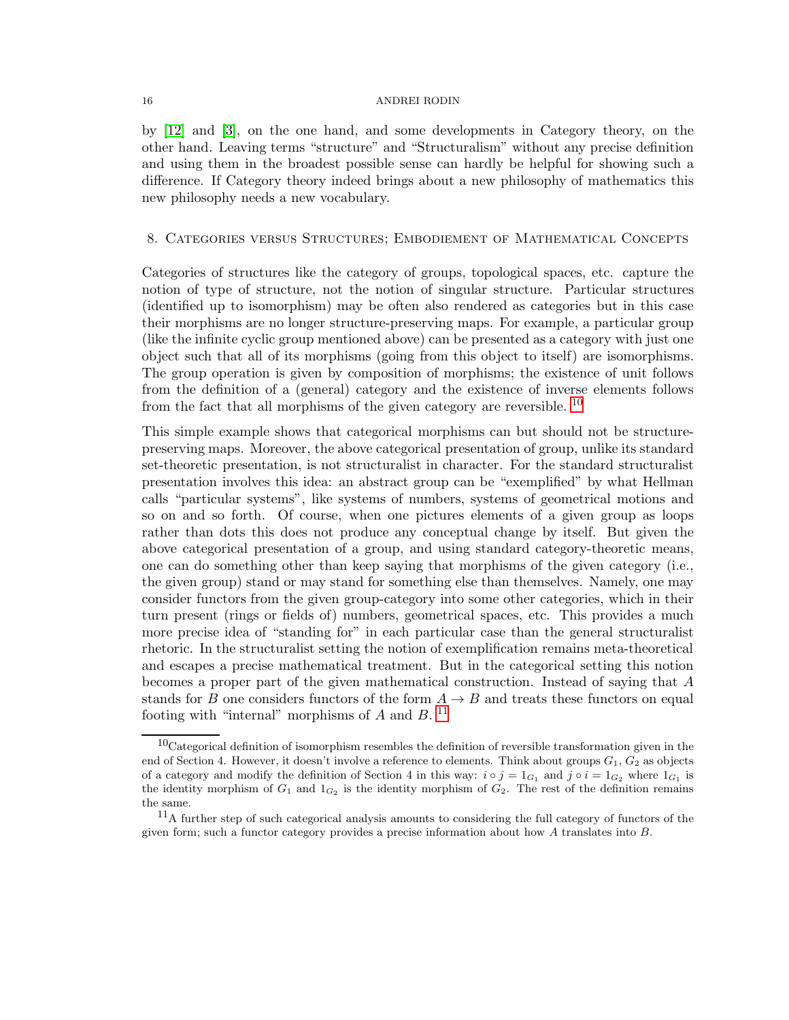by [\[12\]](#page-26-9) and [\[3\]](#page-26-3), on the one hand, and some developments in Category theory, on the other hand. Leaving terms "structure" and "Structuralism" without any precise definition and using them in the broadest possible sense can hardly be helpful for showing such a difference. If Category theory indeed brings about a new philosophy of mathematics this new philosophy needs a new vocabulary.

### 8. Categories versus Structures; Embodiement of Mathematical Concepts

Categories of structures like the category of groups, topological spaces, etc. capture the notion of type of structure, not the notion of singular structure. Particular structures (identified up to isomorphism) may be often also rendered as categories but in this case their morphisms are no longer structure-preserving maps. For example, a particular group (like the infinite cyclic group mentioned above) can be presented as a category with just one object such that all of its morphisms (going from this object to itself) are isomorphisms. The group operation is given by composition of morphisms; the existence of unit follows from the definition of a (general) category and the existence of inverse elements follows from the fact that all morphisms of the given category are reversible. <sup>[10](#page-15-0)</sup>

This simple example shows that categorical morphisms can but should not be structurepreserving maps. Moreover, the above categorical presentation of group, unlike its standard set-theoretic presentation, is not structuralist in character. For the standard structuralist presentation involves this idea: an abstract group can be "exemplified" by what Hellman calls "particular systems", like systems of numbers, systems of geometrical motions and so on and so forth. Of course, when one pictures elements of a given group as loops rather than dots this does not produce any conceptual change by itself. But given the above categorical presentation of a group, and using standard category-theoretic means, one can do something other than keep saying that morphisms of the given category (i.e., the given group) stand or may stand for something else than themselves. Namely, one may consider functors from the given group-category into some other categories, which in their turn present (rings or fields of) numbers, geometrical spaces, etc. This provides a much more precise idea of "standing for" in each particular case than the general structuralist rhetoric. In the structuralist setting the notion of exemplification remains meta-theoretical and escapes a precise mathematical treatment. But in the categorical setting this notion becomes a proper part of the given mathematical construction. Instead of saying that A stands for B one considers functors of the form  $A \to B$  and treats these functors on equal footing with "internal" morphisms of  $A$  and  $B$ .<sup>[11](#page-15-1)</sup>

<span id="page-15-0"></span> $10$ Categorical definition of isomorphism resembles the definition of reversible transformation given in the end of Section 4. However, it doesn't involve a reference to elements. Think about groups  $G_1, G_2$  as objects of a category and modify the definition of Section 4 in this way:  $i \circ j = 1_{G_1}$  and  $j \circ i = 1_{G_2}$  where  $1_{G_1}$  is the identity morphism of  $G_1$  and  $1_{G_2}$  is the identity morphism of  $G_2$ . The rest of the definition remains the same.

<span id="page-15-1"></span> $11A$  further step of such categorical analysis amounts to considering the full category of functors of the given form; such a functor category provides a precise information about how  $A$  translates into  $B$ .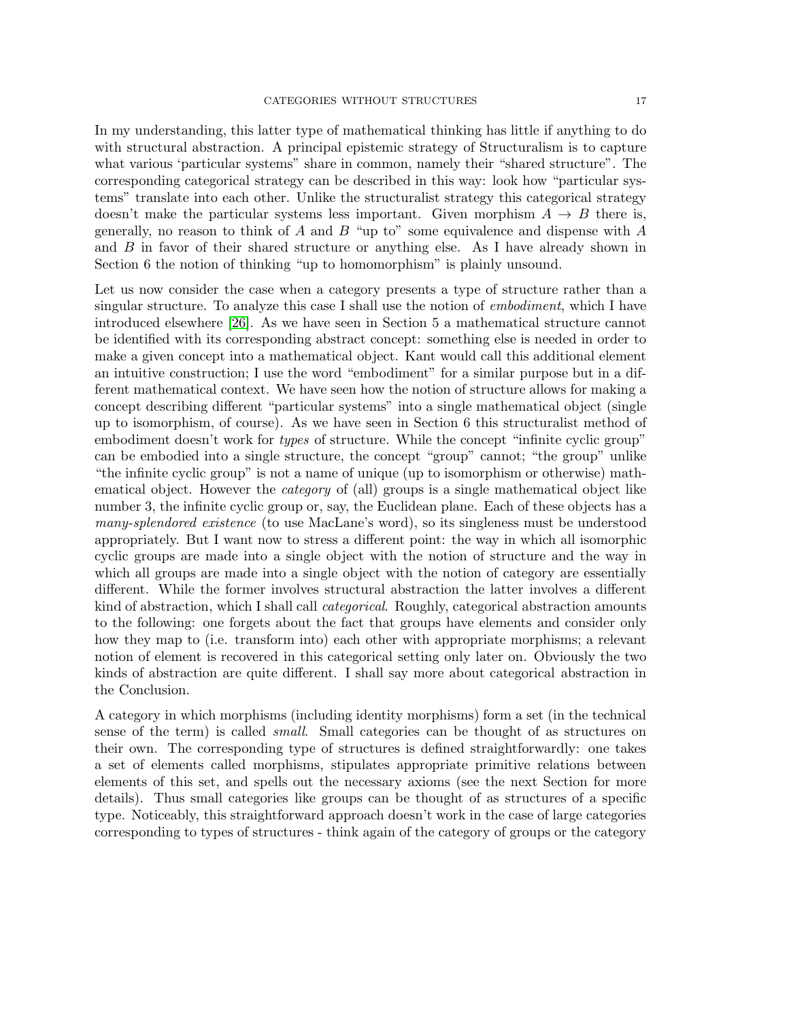In my understanding, this latter type of mathematical thinking has little if anything to do with structural abstraction. A principal epistemic strategy of Structuralism is to capture what various 'particular systems" share in common, namely their "shared structure". The corresponding categorical strategy can be described in this way: look how "particular systems" translate into each other. Unlike the structuralist strategy this categorical strategy doesn't make the particular systems less important. Given morphism  $A \rightarrow B$  there is, generally, no reason to think of A and B "up to" some equivalence and dispense with A and B in favor of their shared structure or anything else. As I have already shown in Section 6 the notion of thinking "up to homomorphism" is plainly unsound.

Let us now consider the case when a category presents a type of structure rather than a singular structure. To analyze this case I shall use the notion of embodiment, which I have introduced elsewhere [\[26\]](#page-27-6). As we have seen in Section 5 a mathematical structure cannot be identified with its corresponding abstract concept: something else is needed in order to make a given concept into a mathematical object. Kant would call this additional element an intuitive construction; I use the word "embodiment" for a similar purpose but in a different mathematical context. We have seen how the notion of structure allows for making a concept describing different "particular systems" into a single mathematical object (single up to isomorphism, of course). As we have seen in Section 6 this structuralist method of embodiment doesn't work for types of structure. While the concept "infinite cyclic group" can be embodied into a single structure, the concept "group" cannot; "the group" unlike "the infinite cyclic group" is not a name of unique (up to isomorphism or otherwise) mathematical object. However the *category* of (all) groups is a single mathematical object like number 3, the infinite cyclic group or, say, the Euclidean plane. Each of these objects has a many-splendored existence (to use MacLane's word), so its singleness must be understood appropriately. But I want now to stress a different point: the way in which all isomorphic cyclic groups are made into a single object with the notion of structure and the way in which all groups are made into a single object with the notion of category are essentially different. While the former involves structural abstraction the latter involves a different kind of abstraction, which I shall call *categorical*. Roughly, categorical abstraction amounts to the following: one forgets about the fact that groups have elements and consider only how they map to (i.e. transform into) each other with appropriate morphisms; a relevant notion of element is recovered in this categorical setting only later on. Obviously the two kinds of abstraction are quite different. I shall say more about categorical abstraction in the Conclusion.

A category in which morphisms (including identity morphisms) form a set (in the technical sense of the term) is called small. Small categories can be thought of as structures on their own. The corresponding type of structures is defined straightforwardly: one takes a set of elements called morphisms, stipulates appropriate primitive relations between elements of this set, and spells out the necessary axioms (see the next Section for more details). Thus small categories like groups can be thought of as structures of a specific type. Noticeably, this straightforward approach doesn't work in the case of large categories corresponding to types of structures - think again of the category of groups or the category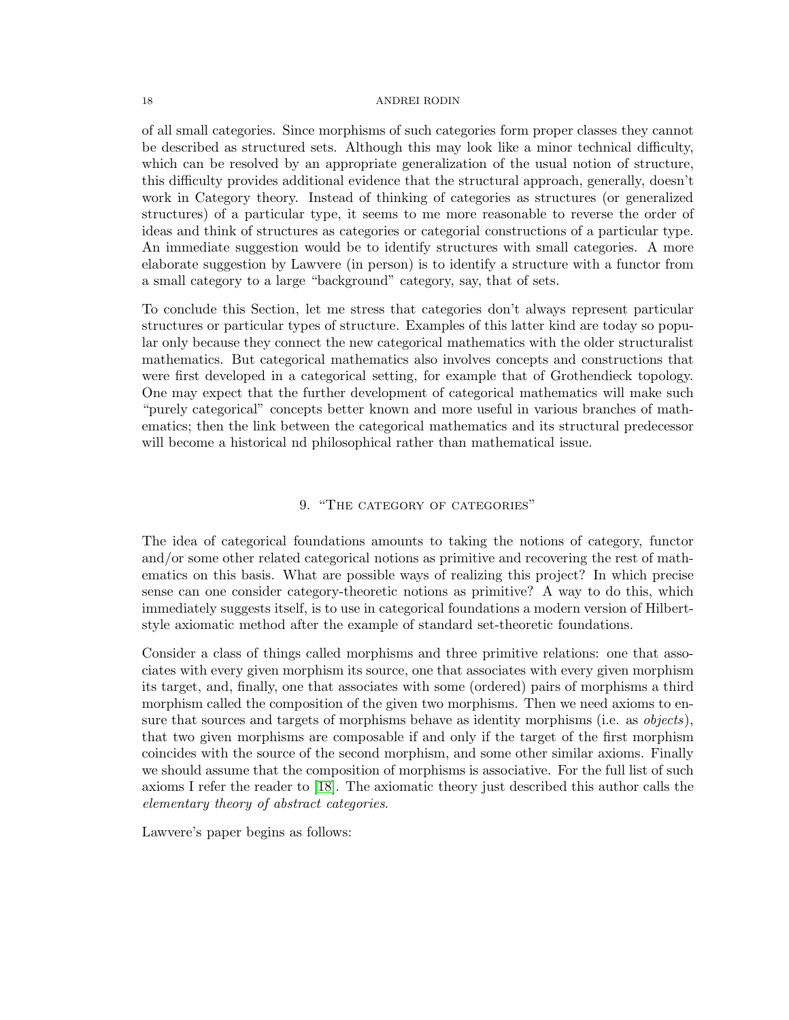of all small categories. Since morphisms of such categories form proper classes they cannot be described as structured sets. Although this may look like a minor technical difficulty, which can be resolved by an appropriate generalization of the usual notion of structure, this difficulty provides additional evidence that the structural approach, generally, doesn't work in Category theory. Instead of thinking of categories as structures (or generalized structures) of a particular type, it seems to me more reasonable to reverse the order of ideas and think of structures as categories or categorial constructions of a particular type. An immediate suggestion would be to identify structures with small categories. A more elaborate suggestion by Lawvere (in person) is to identify a structure with a functor from a small category to a large "background" category, say, that of sets.

To conclude this Section, let me stress that categories don't always represent particular structures or particular types of structure. Examples of this latter kind are today so popular only because they connect the new categorical mathematics with the older structuralist mathematics. But categorical mathematics also involves concepts and constructions that were first developed in a categorical setting, for example that of Grothendieck topology. One may expect that the further development of categorical mathematics will make such "purely categorical" concepts better known and more useful in various branches of mathematics; then the link between the categorical mathematics and its structural predecessor will become a historical nd philosophical rather than mathematical issue.

## 9. "THE CATEGORY OF CATEGORIES"

The idea of categorical foundations amounts to taking the notions of category, functor and/or some other related categorical notions as primitive and recovering the rest of mathematics on this basis. What are possible ways of realizing this project? In which precise sense can one consider category-theoretic notions as primitive? A way to do this, which immediately suggests itself, is to use in categorical foundations a modern version of Hilbertstyle axiomatic method after the example of standard set-theoretic foundations.

Consider a class of things called morphisms and three primitive relations: one that associates with every given morphism its source, one that associates with every given morphism its target, and, finally, one that associates with some (ordered) pairs of morphisms a third morphism called the composition of the given two morphisms. Then we need axioms to ensure that sources and targets of morphisms behave as identity morphisms (i.e. as *objects*), that two given morphisms are composable if and only if the target of the first morphism coincides with the source of the second morphism, and some other similar axioms. Finally we should assume that the composition of morphisms is associative. For the full list of such axioms I refer the reader to [\[18\]](#page-27-2). The axiomatic theory just described this author calls the elementary theory of abstract categories.

Lawvere's paper begins as follows: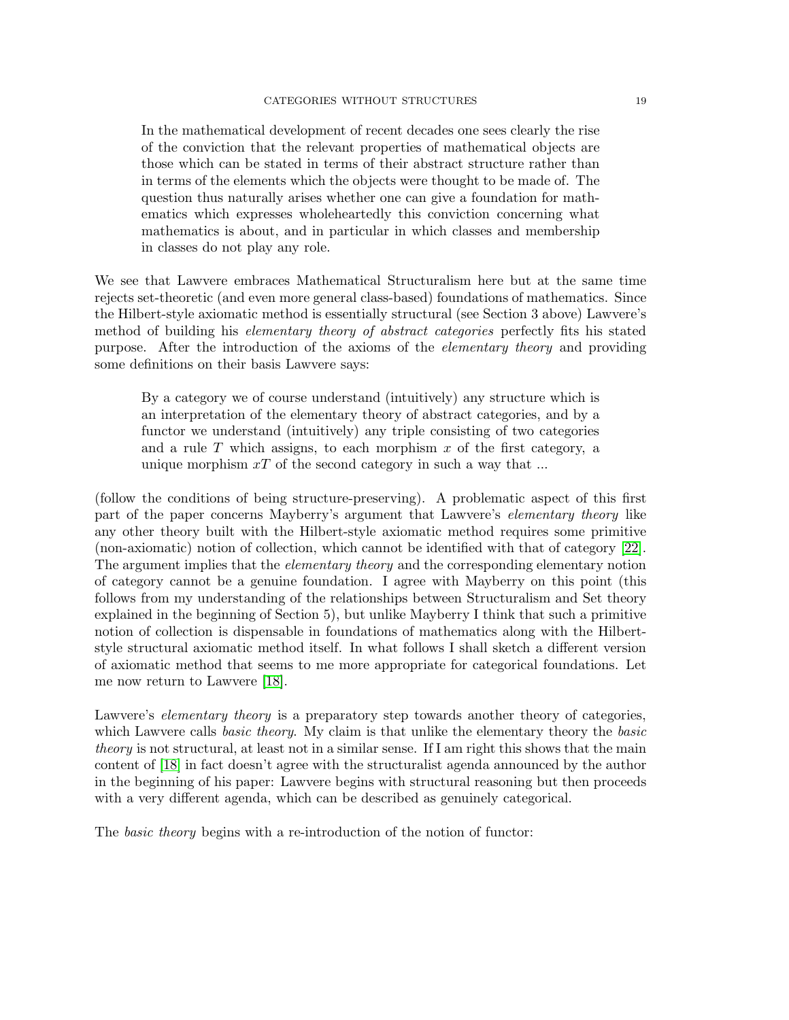In the mathematical development of recent decades one sees clearly the rise of the conviction that the relevant properties of mathematical objects are those which can be stated in terms of their abstract structure rather than in terms of the elements which the objects were thought to be made of. The question thus naturally arises whether one can give a foundation for mathematics which expresses wholeheartedly this conviction concerning what mathematics is about, and in particular in which classes and membership in classes do not play any role.

We see that Lawvere embraces Mathematical Structuralism here but at the same time rejects set-theoretic (and even more general class-based) foundations of mathematics. Since the Hilbert-style axiomatic method is essentially structural (see Section 3 above) Lawvere's method of building his *elementary theory of abstract categories* perfectly fits his stated purpose. After the introduction of the axioms of the elementary theory and providing some definitions on their basis Lawvere says:

By a category we of course understand (intuitively) any structure which is an interpretation of the elementary theory of abstract categories, and by a functor we understand (intuitively) any triple consisting of two categories and a rule T which assigns, to each morphism x of the first category, a unique morphism  $xT$  of the second category in such a way that ...

(follow the conditions of being structure-preserving). A problematic aspect of this first part of the paper concerns Mayberry's argument that Lawvere's elementary theory like any other theory built with the Hilbert-style axiomatic method requires some primitive (non-axiomatic) notion of collection, which cannot be identified with that of category [\[22\]](#page-27-7). The argument implies that the *elementary theory* and the corresponding elementary notion of category cannot be a genuine foundation. I agree with Mayberry on this point (this follows from my understanding of the relationships between Structuralism and Set theory explained in the beginning of Section 5), but unlike Mayberry I think that such a primitive notion of collection is dispensable in foundations of mathematics along with the Hilbertstyle structural axiomatic method itself. In what follows I shall sketch a different version of axiomatic method that seems to me more appropriate for categorical foundations. Let me now return to Lawvere [\[18\]](#page-27-2).

Lawvere's *elementary theory* is a preparatory step towards another theory of categories, which Lawvere calls *basic theory*. My claim is that unlike the elementary theory the *basic* theory is not structural, at least not in a similar sense. If I am right this shows that the main content of [\[18\]](#page-27-2) in fact doesn't agree with the structuralist agenda announced by the author in the beginning of his paper: Lawvere begins with structural reasoning but then proceeds with a very different agenda, which can be described as genuinely categorical.

The basic theory begins with a re-introduction of the notion of functor: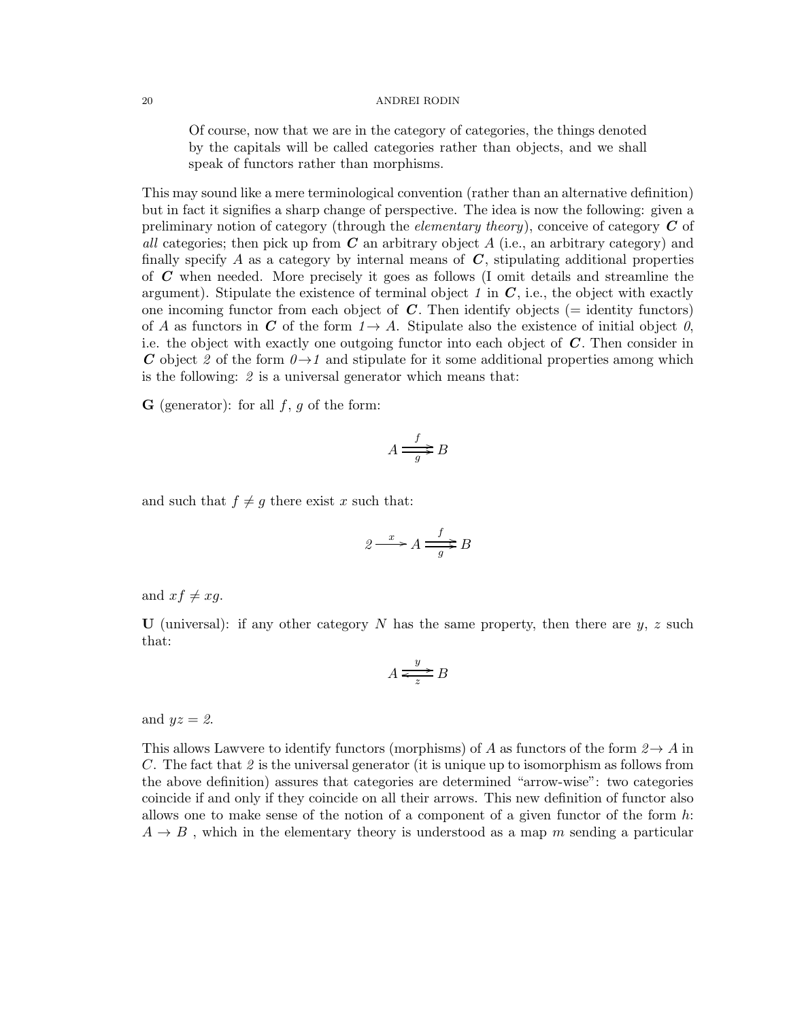Of course, now that we are in the category of categories, the things denoted by the capitals will be called categories rather than objects, and we shall speak of functors rather than morphisms.

This may sound like a mere terminological convention (rather than an alternative definition) but in fact it signifies a sharp change of perspective. The idea is now the following: given a preliminary notion of category (through the *elementary theory*), conceive of category  $C$  of all categories; then pick up from  $C$  an arbitrary object  $A$  (i.e., an arbitrary category) and finally specify A as a category by internal means of  $C$ , stipulating additional properties of  $C$  when needed. More precisely it goes as follows (I omit details and streamline the argument). Stipulate the existence of terminal object 1 in  $C$ , i.e., the object with exactly one incoming functor from each object of  $C$ . Then identify objects (= identity functors) of A as functors in C of the form  $1 \rightarrow A$ . Stipulate also the existence of initial object 0, i.e. the object with exactly one outgoing functor into each object of  $C$ . Then consider in C object 2 of the form  $0 \rightarrow 1$  and stipulate for it some additional properties among which is the following: 2 is a universal generator which means that:

**G** (generator): for all  $f$ ,  $g$  of the form:

$$
A \frac{f}{\longrightarrow} B
$$

and such that  $f \neq g$  there exist x such that:

$$
2 \xrightarrow{x} A \xrightarrow{f} B
$$

and  $xf \neq xg$ .

U (universal): if any other category N has the same property, then there are  $y, z$  such that:

$$
A \xrightarrow{y} B
$$

and  $yz = 2$ .

This allows Lawvere to identify functors (morphisms) of A as functors of the form  $2 \rightarrow A$  in C. The fact that  $\ell$  is the universal generator (it is unique up to isomorphism as follows from the above definition) assures that categories are determined "arrow-wise": two categories coincide if and only if they coincide on all their arrows. This new definition of functor also allows one to make sense of the notion of a component of a given functor of the form  $h$ :  $A \rightarrow B$ , which in the elementary theory is understood as a map m sending a particular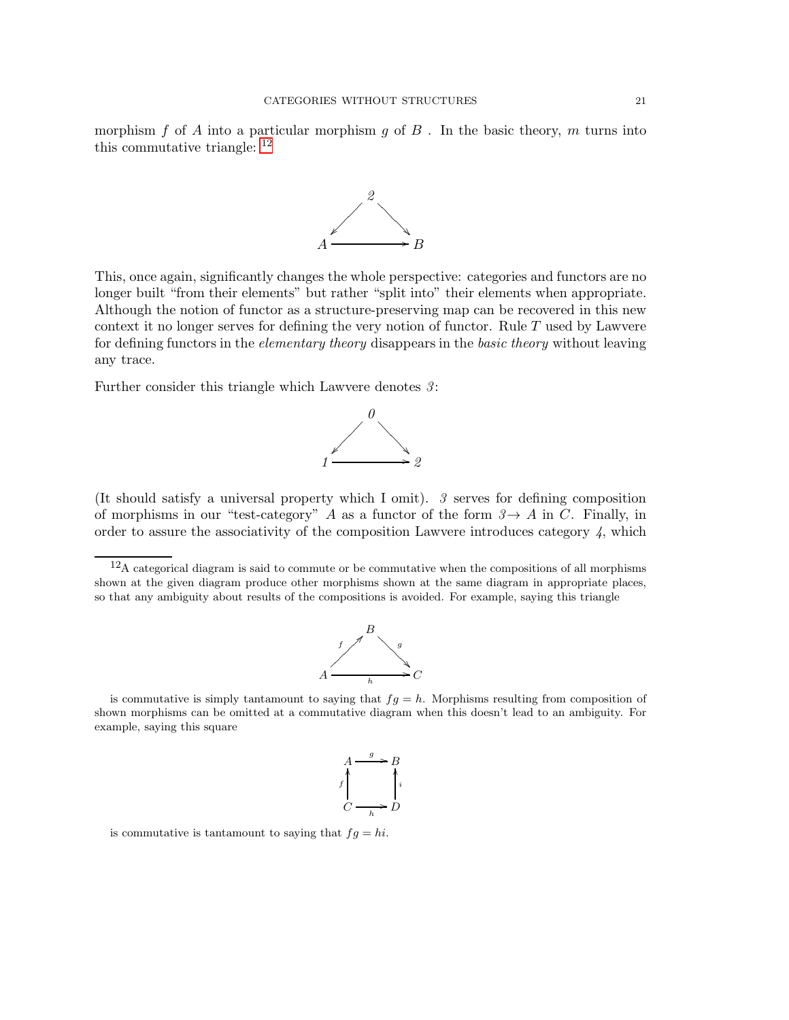morphism f of A into a particular morphism g of B. In the basic theory, m turns into this commutative triangle: [12](#page-20-0)



This, once again, significantly changes the whole perspective: categories and functors are no longer built "from their elements" but rather "split into" their elements when appropriate. Although the notion of functor as a structure-preserving map can be recovered in this new context it no longer serves for defining the very notion of functor. Rule  $T$  used by Lawvere for defining functors in the *elementary theory* disappears in the *basic theory* without leaving any trace.

Further consider this triangle which Lawvere denotes 3:



(It should satisfy a universal property which I omit). 3 serves for defining composition of morphisms in our "test-category" A as a functor of the form  $3 \rightarrow A$  in C. Finally, in order to assure the associativity of the composition Lawvere introduces category 4, which

<span id="page-20-0"></span><sup>12</sup>A categorical diagram is said to commute or be commutative when the compositions of all morphisms shown at the given diagram produce other morphisms shown at the same diagram in appropriate places, so that any ambiguity about results of the compositions is avoided. For example, saying this triangle



is commutative is simply tantamount to saying that  $fg = h$ . Morphisms resulting from composition of shown morphisms can be omitted at a commutative diagram when this doesn't lead to an ambiguity. For example, saying this square



is commutative is tantamount to saying that  $fg = hi$ .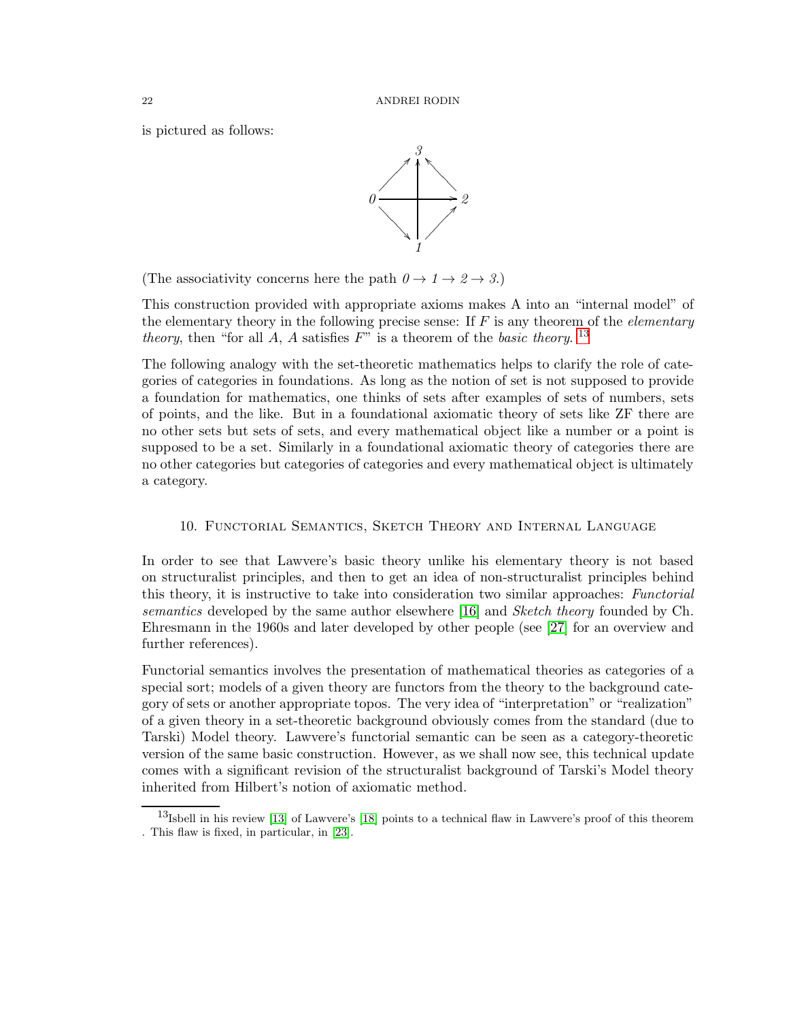is pictured as follows:



(The associativity concerns here the path  $0 \to 1 \to 2 \to 3$ .)

This construction provided with appropriate axioms makes A into an "internal model" of the elementary theory in the following precise sense: If  $F$  is any theorem of the *elementary* theory, then "for all  $A$ ,  $A$  satisfies  $F$ " is a theorem of the basic theory.<sup>[13](#page-21-0)</sup>

The following analogy with the set-theoretic mathematics helps to clarify the role of categories of categories in foundations. As long as the notion of set is not supposed to provide a foundation for mathematics, one thinks of sets after examples of sets of numbers, sets of points, and the like. But in a foundational axiomatic theory of sets like ZF there are no other sets but sets of sets, and every mathematical object like a number or a point is supposed to be a set. Similarly in a foundational axiomatic theory of categories there are no other categories but categories of categories and every mathematical object is ultimately a category.

# 10. Functorial Semantics, Sketch Theory and Internal Language

In order to see that Lawvere's basic theory unlike his elementary theory is not based on structuralist principles, and then to get an idea of non-structuralist principles behind this theory, it is instructive to take into consideration two similar approaches: Functorial semantics developed by the same author elsewhere [\[16\]](#page-27-8) and *Sketch theory* founded by Ch. Ehresmann in the 1960s and later developed by other people (see [\[27\]](#page-27-9) for an overview and further references).

Functorial semantics involves the presentation of mathematical theories as categories of a special sort; models of a given theory are functors from the theory to the background category of sets or another appropriate topos. The very idea of "interpretation" or "realization" of a given theory in a set-theoretic background obviously comes from the standard (due to Tarski) Model theory. Lawvere's functorial semantic can be seen as a category-theoretic version of the same basic construction. However, as we shall now see, this technical update comes with a significant revision of the structuralist background of Tarski's Model theory inherited from Hilbert's notion of axiomatic method.

<span id="page-21-0"></span> $13$ <sub>Isbell</sub> in his review [\[13\]](#page-26-10) of Lawvere's [\[18\]](#page-27-2) points to a technical flaw in Lawvere's proof of this theorem . This flaw is fixed, in particular, in [\[23\]](#page-27-10).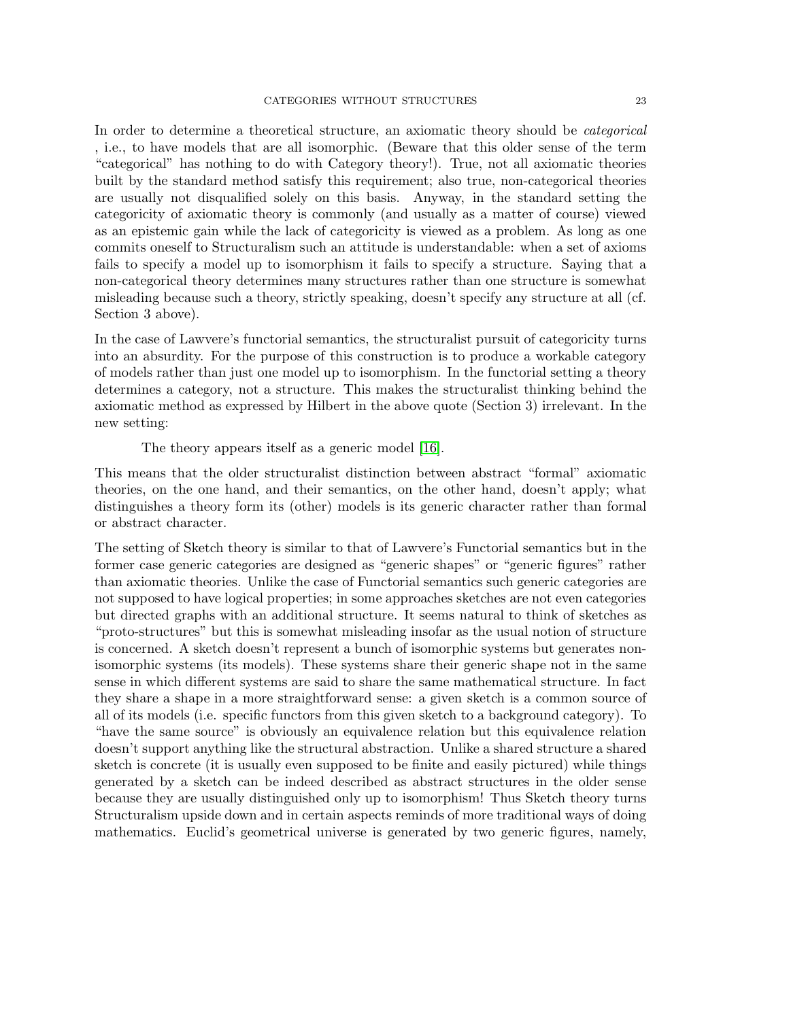In order to determine a theoretical structure, an axiomatic theory should be *categorical* , i.e., to have models that are all isomorphic. (Beware that this older sense of the term "categorical" has nothing to do with Category theory!). True, not all axiomatic theories built by the standard method satisfy this requirement; also true, non-categorical theories are usually not disqualified solely on this basis. Anyway, in the standard setting the categoricity of axiomatic theory is commonly (and usually as a matter of course) viewed as an epistemic gain while the lack of categoricity is viewed as a problem. As long as one commits oneself to Structuralism such an attitude is understandable: when a set of axioms fails to specify a model up to isomorphism it fails to specify a structure. Saying that a non-categorical theory determines many structures rather than one structure is somewhat misleading because such a theory, strictly speaking, doesn't specify any structure at all (cf. Section 3 above).

In the case of Lawvere's functorial semantics, the structuralist pursuit of categoricity turns into an absurdity. For the purpose of this construction is to produce a workable category of models rather than just one model up to isomorphism. In the functorial setting a theory determines a category, not a structure. This makes the structuralist thinking behind the axiomatic method as expressed by Hilbert in the above quote (Section 3) irrelevant. In the new setting:

The theory appears itself as a generic model [\[16\]](#page-27-8).

This means that the older structuralist distinction between abstract "formal" axiomatic theories, on the one hand, and their semantics, on the other hand, doesn't apply; what distinguishes a theory form its (other) models is its generic character rather than formal or abstract character.

The setting of Sketch theory is similar to that of Lawvere's Functorial semantics but in the former case generic categories are designed as "generic shapes" or "generic figures" rather than axiomatic theories. Unlike the case of Functorial semantics such generic categories are not supposed to have logical properties; in some approaches sketches are not even categories but directed graphs with an additional structure. It seems natural to think of sketches as "proto-structures" but this is somewhat misleading insofar as the usual notion of structure is concerned. A sketch doesn't represent a bunch of isomorphic systems but generates nonisomorphic systems (its models). These systems share their generic shape not in the same sense in which different systems are said to share the same mathematical structure. In fact they share a shape in a more straightforward sense: a given sketch is a common source of all of its models (i.e. specific functors from this given sketch to a background category). To "have the same source" is obviously an equivalence relation but this equivalence relation doesn't support anything like the structural abstraction. Unlike a shared structure a shared sketch is concrete (it is usually even supposed to be finite and easily pictured) while things generated by a sketch can be indeed described as abstract structures in the older sense because they are usually distinguished only up to isomorphism! Thus Sketch theory turns Structuralism upside down and in certain aspects reminds of more traditional ways of doing mathematics. Euclid's geometrical universe is generated by two generic figures, namely,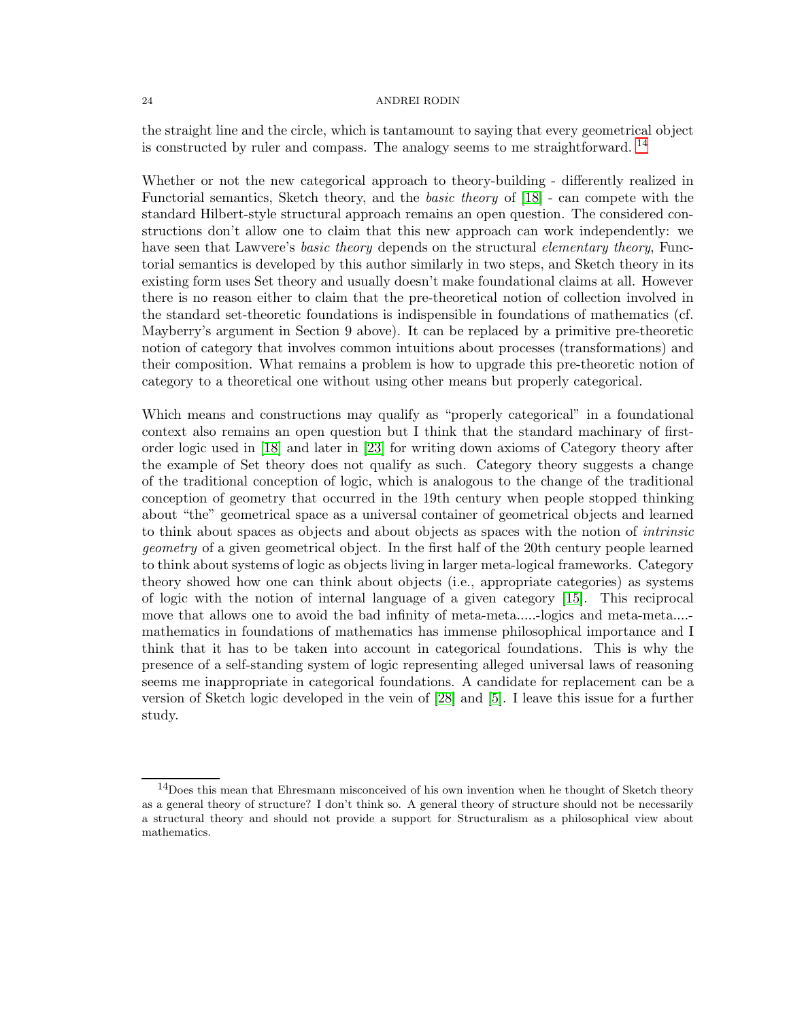the straight line and the circle, which is tantamount to saying that every geometrical object is constructed by ruler and compass. The analogy seems to me straightforward.  $^{14}$  $^{14}$  $^{14}$ 

Whether or not the new categorical approach to theory-building - differently realized in Functorial semantics, Sketch theory, and the basic theory of [\[18\]](#page-27-2) - can compete with the standard Hilbert-style structural approach remains an open question. The considered constructions don't allow one to claim that this new approach can work independently: we have seen that Lawvere's *basic theory* depends on the structural *elementary theory*, Functorial semantics is developed by this author similarly in two steps, and Sketch theory in its existing form uses Set theory and usually doesn't make foundational claims at all. However there is no reason either to claim that the pre-theoretical notion of collection involved in the standard set-theoretic foundations is indispensible in foundations of mathematics (cf. Mayberry's argument in Section 9 above). It can be replaced by a primitive pre-theoretic notion of category that involves common intuitions about processes (transformations) and their composition. What remains a problem is how to upgrade this pre-theoretic notion of category to a theoretical one without using other means but properly categorical.

Which means and constructions may qualify as "properly categorical" in a foundational context also remains an open question but I think that the standard machinary of firstorder logic used in [\[18\]](#page-27-2) and later in [\[23\]](#page-27-10) for writing down axioms of Category theory after the example of Set theory does not qualify as such. Category theory suggests a change of the traditional conception of logic, which is analogous to the change of the traditional conception of geometry that occurred in the 19th century when people stopped thinking about "the" geometrical space as a universal container of geometrical objects and learned to think about spaces as objects and about objects as spaces with the notion of intrinsic geometry of a given geometrical object. In the first half of the 20th century people learned to think about systems of logic as objects living in larger meta-logical frameworks. Category theory showed how one can think about objects (i.e., appropriate categories) as systems of logic with the notion of internal language of a given category [\[15\]](#page-26-11). This reciprocal move that allows one to avoid the bad infinity of meta-meta.....-logics and meta-meta.... mathematics in foundations of mathematics has immense philosophical importance and I think that it has to be taken into account in categorical foundations. This is why the presence of a self-standing system of logic representing alleged universal laws of reasoning seems me inappropriate in categorical foundations. A candidate for replacement can be a version of Sketch logic developed in the vein of [\[28\]](#page-27-11) and [\[5\]](#page-26-12). I leave this issue for a further study.

<span id="page-23-0"></span> $14$ Does this mean that Ehresmann misconceived of his own invention when he thought of Sketch theory as a general theory of structure? I don't think so. A general theory of structure should not be necessarily a structural theory and should not provide a support for Structuralism as a philosophical view about mathematics.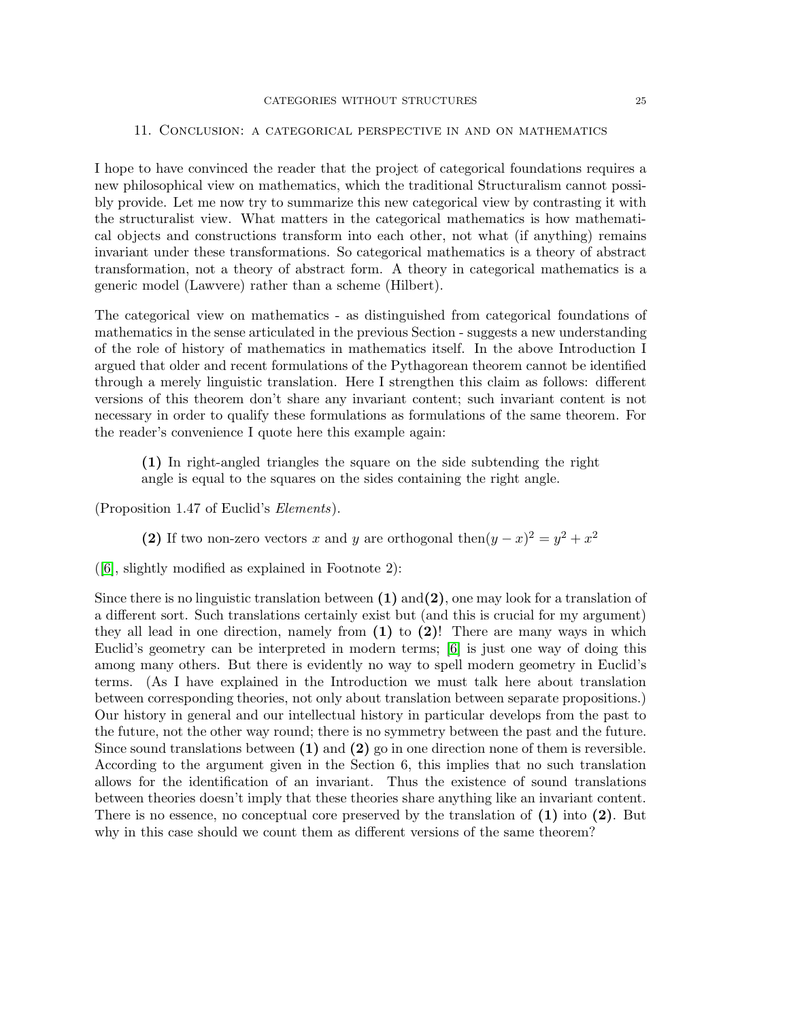#### CATEGORIES WITHOUT STRUCTURES 25

#### 11. Conclusion: a categorical perspective in and on mathematics

I hope to have convinced the reader that the project of categorical foundations requires a new philosophical view on mathematics, which the traditional Structuralism cannot possibly provide. Let me now try to summarize this new categorical view by contrasting it with the structuralist view. What matters in the categorical mathematics is how mathematical objects and constructions transform into each other, not what (if anything) remains invariant under these transformations. So categorical mathematics is a theory of abstract transformation, not a theory of abstract form. A theory in categorical mathematics is a generic model (Lawvere) rather than a scheme (Hilbert).

The categorical view on mathematics - as distinguished from categorical foundations of mathematics in the sense articulated in the previous Section - suggests a new understanding of the role of history of mathematics in mathematics itself. In the above Introduction I argued that older and recent formulations of the Pythagorean theorem cannot be identified through a merely linguistic translation. Here I strengthen this claim as follows: different versions of this theorem don't share any invariant content; such invariant content is not necessary in order to qualify these formulations as formulations of the same theorem. For the reader's convenience I quote here this example again:

(1) In right-angled triangles the square on the side subtending the right angle is equal to the squares on the sides containing the right angle.

(Proposition 1.47 of Euclid's Elements).

(2) If two non-zero vectors x and y are orthogonal then $(y - x)^2 = y^2 + x^2$ 

([\[6\]](#page-26-1), slightly modified as explained in Footnote 2):

Since there is no linguistic translation between  $(1)$  and  $(2)$ , one may look for a translation of a different sort. Such translations certainly exist but (and this is crucial for my argument) they all lead in one direction, namely from  $(1)$  to  $(2)!$  There are many ways in which Euclid's geometry can be interpreted in modern terms; [\[6\]](#page-26-1) is just one way of doing this among many others. But there is evidently no way to spell modern geometry in Euclid's terms. (As I have explained in the Introduction we must talk here about translation between corresponding theories, not only about translation between separate propositions.) Our history in general and our intellectual history in particular develops from the past to the future, not the other way round; there is no symmetry between the past and the future. Since sound translations between  $(1)$  and  $(2)$  go in one direction none of them is reversible. According to the argument given in the Section 6, this implies that no such translation allows for the identification of an invariant. Thus the existence of sound translations between theories doesn't imply that these theories share anything like an invariant content. There is no essence, no conceptual core preserved by the translation of (1) into (2). But why in this case should we count them as different versions of the same theorem?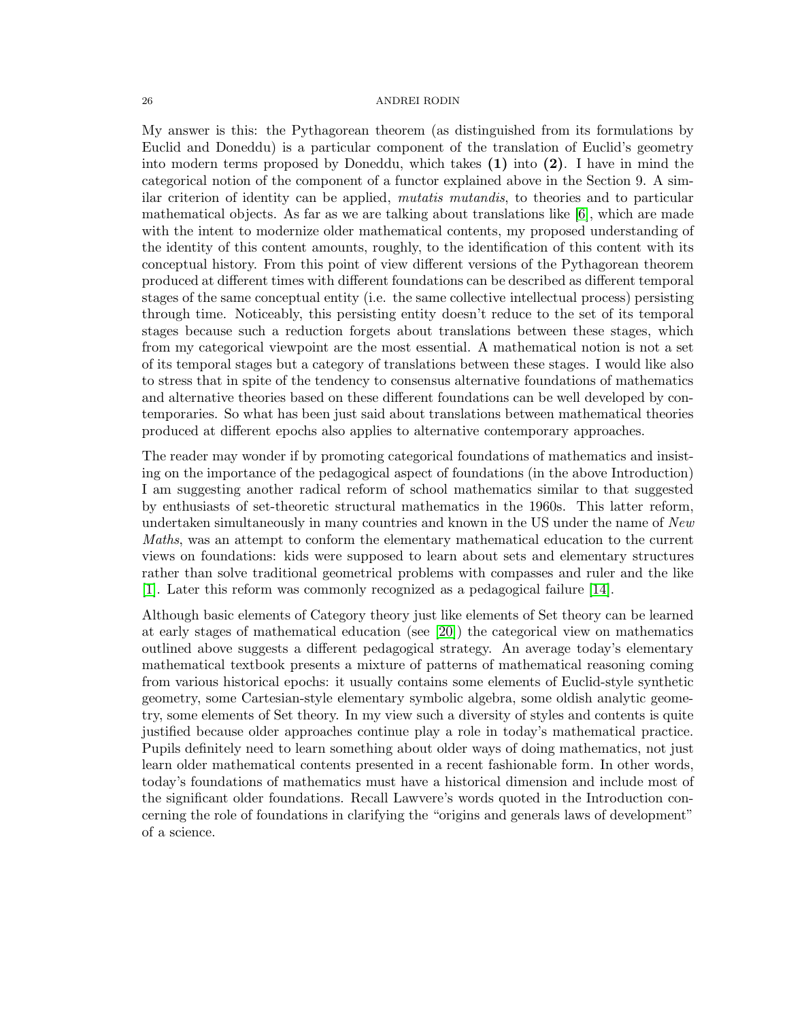My answer is this: the Pythagorean theorem (as distinguished from its formulations by Euclid and Doneddu) is a particular component of the translation of Euclid's geometry into modern terms proposed by Doneddu, which takes  $(1)$  into  $(2)$ . I have in mind the categorical notion of the component of a functor explained above in the Section 9. A similar criterion of identity can be applied, mutatis mutandis, to theories and to particular mathematical objects. As far as we are talking about translations like [\[6\]](#page-26-1), which are made with the intent to modernize older mathematical contents, my proposed understanding of the identity of this content amounts, roughly, to the identification of this content with its conceptual history. From this point of view different versions of the Pythagorean theorem produced at different times with different foundations can be described as different temporal stages of the same conceptual entity (i.e. the same collective intellectual process) persisting through time. Noticeably, this persisting entity doesn't reduce to the set of its temporal stages because such a reduction forgets about translations between these stages, which from my categorical viewpoint are the most essential. A mathematical notion is not a set of its temporal stages but a category of translations between these stages. I would like also to stress that in spite of the tendency to consensus alternative foundations of mathematics and alternative theories based on these different foundations can be well developed by contemporaries. So what has been just said about translations between mathematical theories produced at different epochs also applies to alternative contemporary approaches.

The reader may wonder if by promoting categorical foundations of mathematics and insisting on the importance of the pedagogical aspect of foundations (in the above Introduction) I am suggesting another radical reform of school mathematics similar to that suggested by enthusiasts of set-theoretic structural mathematics in the 1960s. This latter reform, undertaken simultaneously in many countries and known in the US under the name of New Maths, was an attempt to conform the elementary mathematical education to the current views on foundations: kids were supposed to learn about sets and elementary structures rather than solve traditional geometrical problems with compasses and ruler and the like [\[1\]](#page-26-13). Later this reform was commonly recognized as a pedagogical failure [\[14\]](#page-26-14).

Although basic elements of Category theory just like elements of Set theory can be learned at early stages of mathematical education (see [\[20\]](#page-27-12)) the categorical view on mathematics outlined above suggests a different pedagogical strategy. An average today's elementary mathematical textbook presents a mixture of patterns of mathematical reasoning coming from various historical epochs: it usually contains some elements of Euclid-style synthetic geometry, some Cartesian-style elementary symbolic algebra, some oldish analytic geometry, some elements of Set theory. In my view such a diversity of styles and contents is quite justified because older approaches continue play a role in today's mathematical practice. Pupils definitely need to learn something about older ways of doing mathematics, not just learn older mathematical contents presented in a recent fashionable form. In other words, today's foundations of mathematics must have a historical dimension and include most of the significant older foundations. Recall Lawvere's words quoted in the Introduction concerning the role of foundations in clarifying the "origins and generals laws of development" of a science.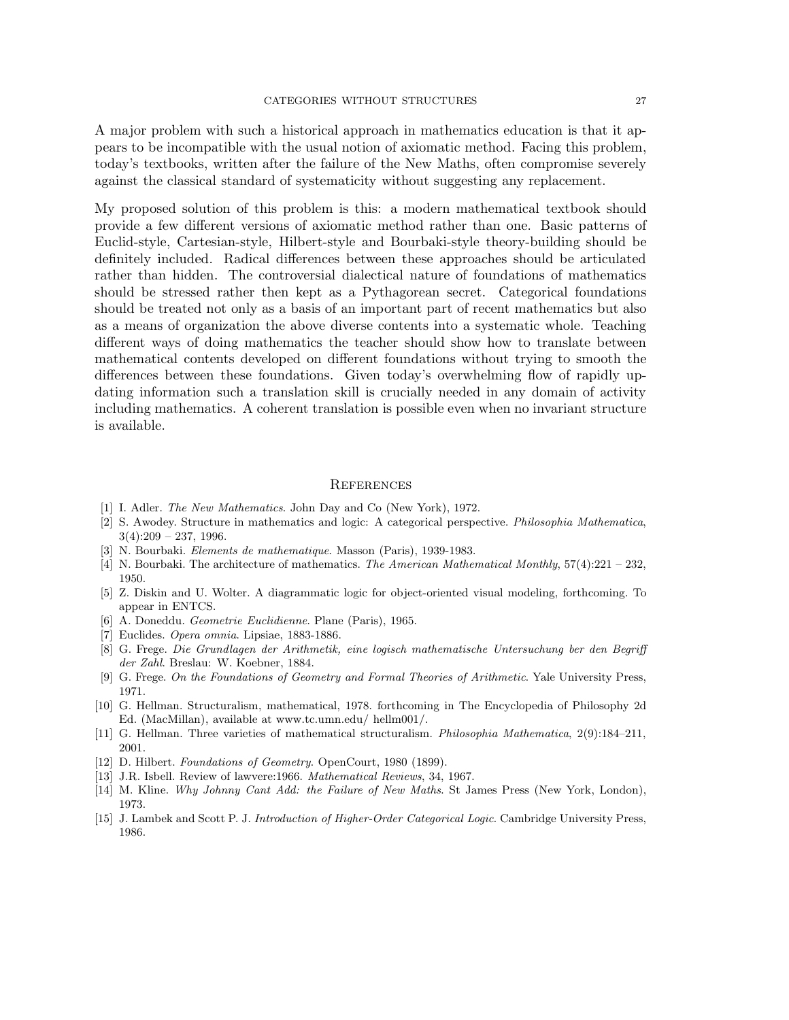A major problem with such a historical approach in mathematics education is that it appears to be incompatible with the usual notion of axiomatic method. Facing this problem, today's textbooks, written after the failure of the New Maths, often compromise severely against the classical standard of systematicity without suggesting any replacement.

My proposed solution of this problem is this: a modern mathematical textbook should provide a few different versions of axiomatic method rather than one. Basic patterns of Euclid-style, Cartesian-style, Hilbert-style and Bourbaki-style theory-building should be definitely included. Radical differences between these approaches should be articulated rather than hidden. The controversial dialectical nature of foundations of mathematics should be stressed rather then kept as a Pythagorean secret. Categorical foundations should be treated not only as a basis of an important part of recent mathematics but also as a means of organization the above diverse contents into a systematic whole. Teaching different ways of doing mathematics the teacher should show how to translate between mathematical contents developed on different foundations without trying to smooth the differences between these foundations. Given today's overwhelming flow of rapidly updating information such a translation skill is crucially needed in any domain of activity including mathematics. A coherent translation is possible even when no invariant structure is available.

#### **REFERENCES**

- <span id="page-26-13"></span><span id="page-26-2"></span>[1] I. Adler. The New Mathematics. John Day and Co (New York), 1972.
- [2] S. Awodey. Structure in mathematics and logic: A categorical perspective. Philosophia Mathematica,  $3(4):209 - 237, 1996.$
- <span id="page-26-7"></span><span id="page-26-3"></span>[3] N. Bourbaki. Elements de mathematique. Masson (Paris), 1939-1983.
- [4] N. Bourbaki. The architecture of mathematics. The American Mathematical Monthly, 57(4):221 232, 1950.
- <span id="page-26-12"></span>[5] Z. Diskin and U. Wolter. A diagrammatic logic for object-oriented visual modeling, forthcoming. To appear in ENTCS.
- <span id="page-26-1"></span><span id="page-26-0"></span>[6] A. Doneddu. Geometrie Euclidienne. Plane (Paris), 1965.
- <span id="page-26-6"></span>[7] Euclides. Opera omnia. Lipsiae, 1883-1886.
- [8] G. Frege. Die Grundlagen der Arithmetik, eine logisch mathematische Untersuchung ber den Begriff der Zahl. Breslau: W. Koebner, 1884.
- <span id="page-26-4"></span>[9] G. Frege. On the Foundations of Geometry and Formal Theories of Arithmetic. Yale University Press, 1971.
- <span id="page-26-5"></span>[10] G. Hellman. Structuralism, mathematical, 1978. forthcoming in The Encyclopedia of Philosophy 2d Ed. (MacMillan), available at www.tc.umn.edu/ hellm001/.
- <span id="page-26-9"></span><span id="page-26-8"></span>[11] G. Hellman. Three varieties of mathematical structuralism. Philosophia Mathematica, 2(9):184–211, 2001.
- <span id="page-26-10"></span>[12] D. Hilbert. Foundations of Geometry. OpenCourt, 1980 (1899).
- <span id="page-26-14"></span>[13] J.R. Isbell. Review of lawvere:1966. Mathematical Reviews, 34, 1967.
- <span id="page-26-11"></span>[14] M. Kline. Why Johnny Cant Add: the Failure of New Maths. St James Press (New York, London), 1973.
- [15] J. Lambek and Scott P. J. Introduction of Higher-Order Categorical Logic. Cambridge University Press, 1986.